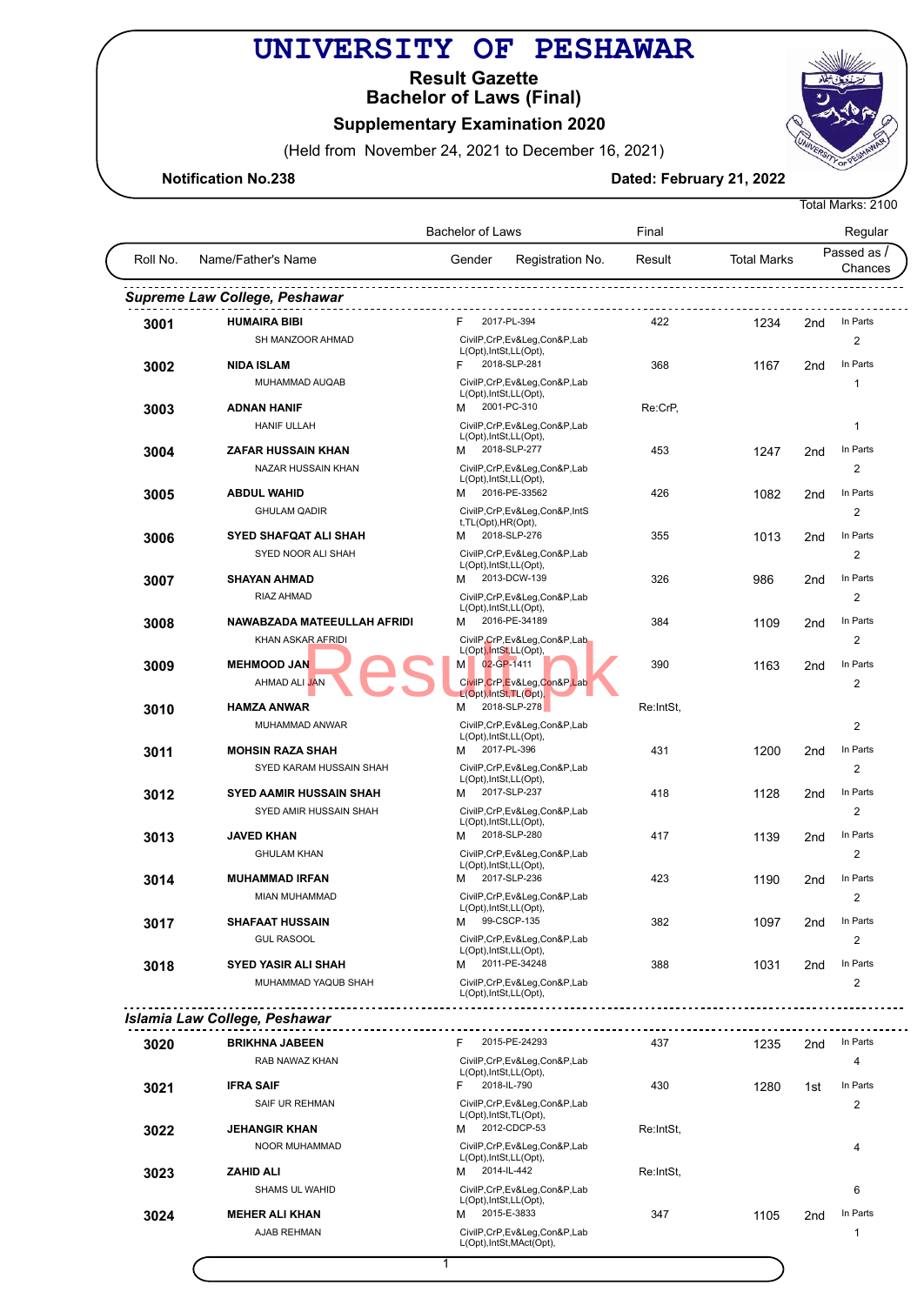## **UNIVERSITY OF PESHAWAR**

**Bachelor of Laws (Final) Result Gazette**

## **Supplementary Examination 2020**

(Held from November 24, 2021 to December 16, 2021)

**Notification No.238** Dated: February 21, 2022

|          |                                | <b>Bachelor of Laws</b>                                  |                            |                    |                 | Regular                 |  |  |
|----------|--------------------------------|----------------------------------------------------------|----------------------------|--------------------|-----------------|-------------------------|--|--|
| Roll No. | Name/Father's Name             | Gender                                                   | Registration No.<br>Result | <b>Total Marks</b> |                 | Passed as /<br>Chances  |  |  |
|          | Supreme Law College, Peshawar  |                                                          |                            |                    |                 |                         |  |  |
| 3001     | <b>HUMAIRA BIBI</b>            | F.<br>2017-PL-394                                        | 422                        | 1234               | 2 <sub>nd</sub> | In Parts                |  |  |
|          | SH MANZOOR AHMAD               | CivilP,CrP,Ev&Leg,Con&P,Lab                              |                            |                    |                 | 2                       |  |  |
|          |                                | L(Opt), IntSt, LL(Opt),                                  |                            |                    |                 |                         |  |  |
| 3002     | <b>NIDA ISLAM</b>              | 2018-SLP-281<br>F                                        | 368                        | 1167               | 2 <sub>nd</sub> | In Parts                |  |  |
|          | MUHAMMAD AUQAB                 | CivilP,CrP,Ev&Leg,Con&P,Lab<br>L(Opt), IntSt, LL(Opt),   |                            |                    |                 | 1                       |  |  |
| 3003     | <b>ADNAN HANIF</b>             | 2001-PC-310<br>м                                         | Re:CrP,                    |                    |                 |                         |  |  |
|          | <b>HANIF ULLAH</b>             | CivilP,CrP,Ev&Leg,Con&P,Lab                              |                            |                    |                 | $\mathbf{1}$            |  |  |
|          | <b>ZAFAR HUSSAIN KHAN</b>      | L(Opt), IntSt, LL(Opt),<br>2018-SLP-277<br>м             | 453                        |                    |                 | In Parts                |  |  |
| 3004     | NAZAR HUSSAIN KHAN             | CivilP,CrP,Ev&Leg,Con&P,Lab                              |                            | 1247               | 2 <sub>nd</sub> | 2                       |  |  |
|          |                                | L(Opt), IntSt, LL(Opt),                                  |                            |                    |                 |                         |  |  |
| 3005     | <b>ABDUL WAHID</b>             | 2016-PE-33562<br>м                                       | 426                        | 1082               | 2 <sub>nd</sub> | In Parts                |  |  |
|          | <b>GHULAM QADIR</b>            | CivilP,CrP,Ev&Leg,Con&P,IntS                             |                            |                    |                 | 2                       |  |  |
| 3006     | <b>SYED SHAFQAT ALI SHAH</b>   | t, TL(Opt), HR(Opt),<br>2018-SLP-276<br>м                | 355                        | 1013               | 2 <sub>nd</sub> | In Parts                |  |  |
|          | SYED NOOR ALI SHAH             | CivilP,CrP,Ev&Leg,Con&P,Lab                              |                            |                    |                 | 2                       |  |  |
|          |                                | L(Opt), IntSt, LL(Opt),                                  |                            |                    |                 |                         |  |  |
| 3007     | <b>SHAYAN AHMAD</b>            | 2013-DCW-139<br>м                                        | 326                        | 986                | 2nd             | In Parts                |  |  |
|          | RIAZ AHMAD                     | CivilP,CrP,Ev&Leg,Con&P,Lab<br>L(Opt), IntSt, LL(Opt),   |                            |                    |                 | 2                       |  |  |
| 3008     | NAWABZADA MATEEULLAH AFRIDI    | 2016-PE-34189<br>м                                       | 384                        | 1109               | 2 <sub>nd</sub> | In Parts                |  |  |
|          | <b>KHAN ASKAR AFRIDI</b>       | CivilP,CrP,Ev&Leg,Con&P,Lab                              |                            |                    |                 | 2                       |  |  |
|          |                                | L(Opt), IntSt, LL(Opt),                                  |                            |                    |                 |                         |  |  |
| 3009     | <b>MEHMOOD JAN</b>             | 02-GP-1411<br>М                                          | 390                        | 1163               | 2 <sub>nd</sub> | In Parts                |  |  |
|          | AHMAD ALI JAN                  | CivilP,CrP,Ev&Leg,Con&P,Lab<br>L(Opt), IntSt, TL(Opt),   |                            |                    |                 | 2                       |  |  |
| 3010     | <b>HAMZA ANWAR</b>             | 2018-SLP-278<br>M                                        | Re:IntSt,                  |                    |                 |                         |  |  |
|          | MUHAMMAD ANWAR                 | CivilP,CrP,Ev&Leg,Con&P,Lab                              |                            |                    |                 | $\overline{2}$          |  |  |
|          |                                | L(Opt), IntSt, LL(Opt),<br>2017-PL-396                   |                            |                    |                 | In Parts                |  |  |
| 3011     | <b>MOHSIN RAZA SHAH</b>        | м                                                        | 431                        | 1200               | 2 <sub>nd</sub> |                         |  |  |
|          | SYED KARAM HUSSAIN SHAH        | CivilP,CrP,Ev&Leg,Con&P,Lab<br>L(Opt), IntSt, LL(Opt),   |                            |                    |                 | 2                       |  |  |
| 3012     | <b>SYED AAMIR HUSSAIN SHAH</b> | 2017-SLP-237<br>м                                        | 418                        | 1128               | 2 <sub>nd</sub> | In Parts                |  |  |
|          | SYED AMIR HUSSAIN SHAH         | CivilP,CrP,Ev&Leg,Con&P,Lab                              |                            |                    |                 | 2                       |  |  |
|          | <b>JAVED KHAN</b>              | L(Opt), IntSt, LL(Opt),<br>2018-SLP-280<br>M             | 417                        | 1139               | 2nd             | In Parts                |  |  |
| 3013     | <b>GHULAM KHAN</b>             | CivilP,CrP,Ev&Leg,Con&P,Lab                              |                            |                    |                 | 2                       |  |  |
|          |                                | L(Opt), IntSt, LL(Opt),                                  |                            |                    |                 |                         |  |  |
| 3014     | <b>MUHAMMAD IRFAN</b>          | 2017-SLP-236<br>м                                        | 423                        | 1190               | 2 <sub>nd</sub> | In Parts                |  |  |
|          | MIAN MUHAMMAD                  | CivilP,CrP,Ev&Leg,Con&P,Lab<br>L(Opt), IntSt, LL(Opt),   |                            |                    |                 | 2                       |  |  |
| 3017     | <b>SHAFAAT HUSSAIN</b>         | M<br>99-CSCP-135                                         | 382                        | 1097               | 2nd             | In Parts                |  |  |
|          | <b>GUL RASOOL</b>              | CivilP,CrP,Ev&Leg,Con&P,Lab                              |                            |                    |                 | $\overline{\mathbf{c}}$ |  |  |
|          |                                | L(Opt), IntSt, LL(Opt),                                  |                            |                    |                 |                         |  |  |
| 3018     | <b>SYED YASIR ALI SHAH</b>     | 2011-PE-34248<br>м                                       | 388                        | 1031               | 2nd             | In Parts                |  |  |
|          | MUHAMMAD YAQUB SHAH            | CivilP,CrP,Ev&Leg,Con&P,Lab<br>L(Opt), IntSt, LL(Opt),   |                            |                    |                 | 2                       |  |  |
|          | Islamia Law College, Peshawar  |                                                          |                            |                    |                 |                         |  |  |
|          |                                |                                                          |                            |                    |                 |                         |  |  |
| 3020     | <b>BRIKHNA JABEEN</b>          | 2015-PE-24293<br>F.                                      | 437                        | 1235               | 2 <sub>nd</sub> | In Parts                |  |  |
|          | RAB NAWAZ KHAN                 | CivilP,CrP,Ev&Leg,Con&P,Lab<br>L(Opt), IntSt, LL(Opt),   |                            |                    |                 | 4                       |  |  |
| 3021     | <b>IFRA SAIF</b>               | 2018-IL-790<br>F.                                        | 430                        | 1280               | 1st             | In Parts                |  |  |
|          | SAIF UR REHMAN                 | CivilP,CrP,Ev&Leg,Con&P,Lab                              |                            |                    |                 | 2                       |  |  |
|          |                                | L(Opt), IntSt, TL(Opt),                                  |                            |                    |                 |                         |  |  |
| 3022     | <b>JEHANGIR KHAN</b>           | 2012-CDCP-53<br>м                                        | Re:IntSt,                  |                    |                 |                         |  |  |
|          | NOOR MUHAMMAD                  | CivilP,CrP,Ev&Leg,Con&P,Lab<br>L(Opt), IntSt, LL(Opt),   |                            |                    |                 | 4                       |  |  |
| 3023     | <b>ZAHID ALI</b>               | 2014-IL-442<br>м                                         | Re:IntSt,                  |                    |                 |                         |  |  |
|          | <b>SHAMS UL WAHID</b>          | CivilP,CrP,Ev&Leg,Con&P,Lab                              |                            |                    |                 | 6                       |  |  |
|          |                                | L(Opt), IntSt, LL(Opt),<br>2015-E-3833                   |                            |                    |                 | In Parts                |  |  |
| 3024     | <b>MEHER ALI KHAN</b>          | м                                                        | 347                        | 1105               | 2nd             |                         |  |  |
|          | AJAB REHMAN                    | CivilP,CrP,Ev&Leg,Con&P,Lab<br>L(Opt), IntSt, MAct(Opt), |                            |                    |                 | $\mathbf{1}$            |  |  |
|          |                                |                                                          |                            |                    |                 |                         |  |  |

 $1$ 



Total Marks: 2100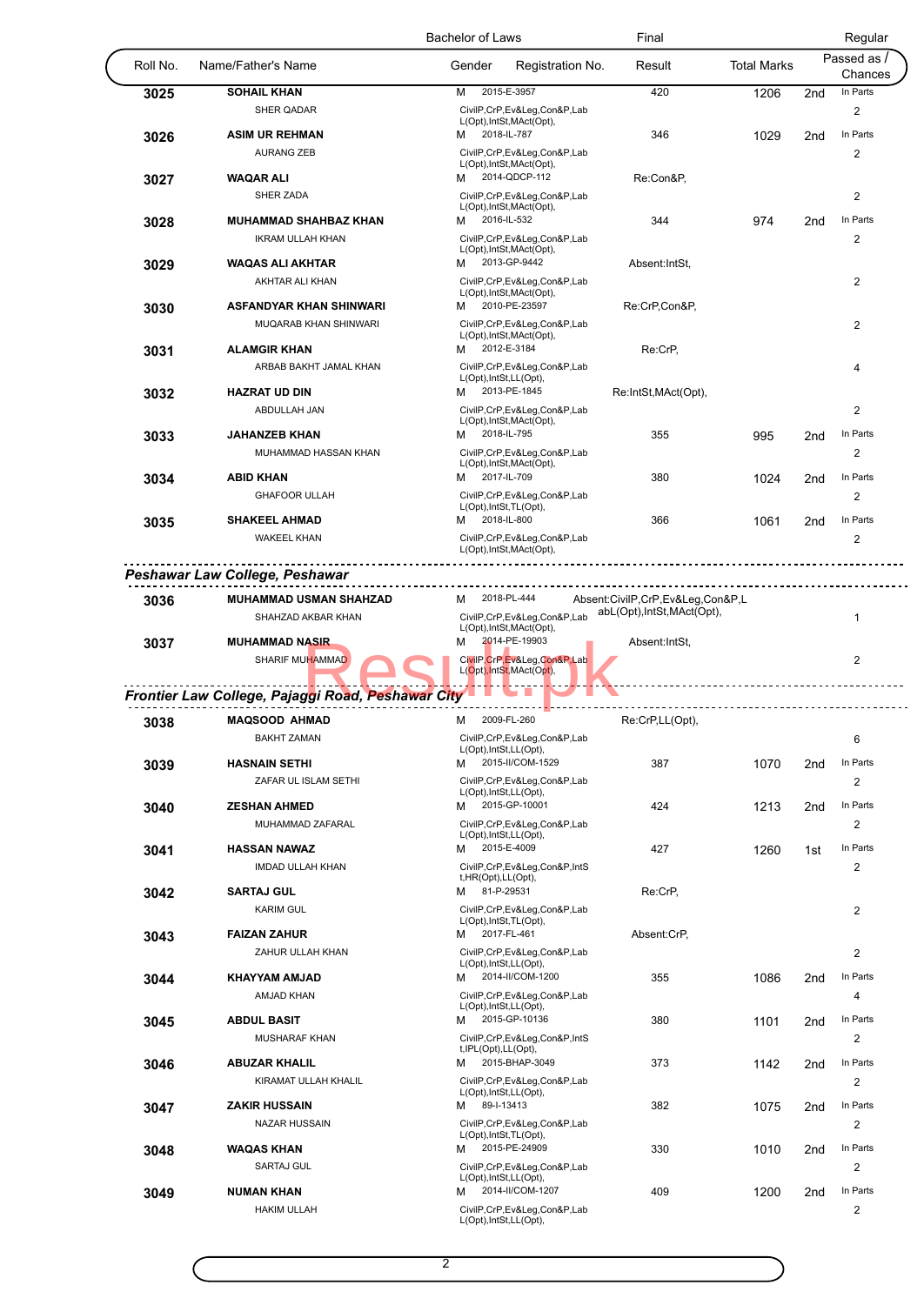|          |                                                   | <b>Bachelor of Laws</b>                                  | Final                                                           |                    |                 | Regular                 |
|----------|---------------------------------------------------|----------------------------------------------------------|-----------------------------------------------------------------|--------------------|-----------------|-------------------------|
| Roll No. | Name/Father's Name                                | Gender<br>Registration No.                               | Result                                                          | <b>Total Marks</b> |                 | Passed as /<br>Chances  |
| 3025     | <b>SOHAIL KHAN</b>                                | 2015-E-3957<br>M                                         | 420                                                             | 1206               | 2 <sub>nd</sub> | In Parts                |
|          | <b>SHER QADAR</b>                                 | CivilP,CrP,Ev&Leg,Con&P,Lab                              |                                                                 |                    |                 | 2                       |
| 3026     | <b>ASIM UR REHMAN</b>                             | L(Opt), IntSt, MAct(Opt),<br>2018-IL-787<br>м            | 346                                                             | 1029               | 2nd             | In Parts                |
|          | <b>AURANG ZEB</b>                                 | CivilP,CrP,Ev&Leg,Con&P,Lab                              |                                                                 |                    |                 | 2                       |
|          |                                                   | L(Opt), IntSt, MAct(Opt),                                |                                                                 |                    |                 |                         |
| 3027     | <b>WAQAR ALI</b>                                  | 2014-QDCP-112<br>м                                       | Re:Con&P,                                                       |                    |                 |                         |
|          | <b>SHER ZADA</b>                                  | CivilP,CrP,Ev&Leg,Con&P,Lab<br>L(Opt), IntSt, MAct(Opt), |                                                                 |                    |                 | 2                       |
| 3028     | <b>MUHAMMAD SHAHBAZ KHAN</b>                      | 2016-IL-532<br>м                                         | 344                                                             | 974                | 2nd             | In Parts                |
|          | <b>IKRAM ULLAH KHAN</b>                           | CivilP,CrP,Ev&Leg,Con&P,Lab                              |                                                                 |                    |                 | 2                       |
|          |                                                   | L(Opt), IntSt, MAct(Opt),                                |                                                                 |                    |                 |                         |
| 3029     | WAQAS ALI AKHTAR                                  | 2013-GP-9442<br>м                                        | Absent: IntSt,                                                  |                    |                 |                         |
|          | AKHTAR ALI KHAN                                   | CivilP,CrP,Ev&Leg,Con&P,Lab<br>L(Opt), IntSt, MAct(Opt), |                                                                 |                    |                 | $\overline{2}$          |
| 3030     | ASFANDYAR KHAN SHINWARI                           | 2010-PE-23597<br>м                                       | Re:CrP,Con&P,                                                   |                    |                 |                         |
|          | MUQARAB KHAN SHINWARI                             | CivilP,CrP,Ev&Leg,Con&P,Lab                              |                                                                 |                    |                 | 2                       |
|          | <b>ALAMGIR KHAN</b>                               | L(Opt), IntSt, MAct(Opt),<br>2012-E-3184<br>M            | Re:CrP,                                                         |                    |                 |                         |
| 3031     | ARBAB BAKHT JAMAL KHAN                            | CivilP,CrP,Ev&Leg,Con&P,Lab                              |                                                                 |                    |                 |                         |
|          |                                                   | L(Opt), IntSt, LL(Opt),                                  |                                                                 |                    |                 | 4                       |
| 3032     | <b>HAZRAT UD DIN</b>                              | 2013-PE-1845<br>м                                        | Re:IntSt,MAct(Opt),                                             |                    |                 |                         |
|          | ABDULLAH JAN                                      | CivilP,CrP,Ev&Leg,Con&P,Lab                              |                                                                 |                    |                 | 2                       |
| 3033     | <b>JAHANZEB KHAN</b>                              | L(Opt), IntSt, MAct(Opt),<br>2018-IL-795<br>м            | 355                                                             | 995                | 2nd             | In Parts                |
|          | MUHAMMAD HASSAN KHAN                              | CivilP,CrP,Ev&Leg,Con&P,Lab                              |                                                                 |                    |                 | 2                       |
|          |                                                   | L(Opt), IntSt, MAct(Opt),                                |                                                                 |                    |                 |                         |
| 3034     | <b>ABID KHAN</b>                                  | 2017-IL-709<br>м                                         | 380                                                             | 1024               | 2 <sub>nd</sub> | In Parts                |
|          | <b>GHAFOOR ULLAH</b>                              | CivilP,CrP,Ev&Leg,Con&P,Lab<br>L(Opt), IntSt, TL(Opt),   |                                                                 |                    |                 | 2                       |
| 3035     | <b>SHAKEEL AHMAD</b>                              | 2018-IL-800<br>М                                         | 366                                                             | 1061               | 2 <sub>nd</sub> | In Parts                |
|          | <b>WAKEEL KHAN</b>                                | CivilP,CrP,Ev&Leg,Con&P,Lab                              |                                                                 |                    |                 | 2                       |
|          |                                                   | L(Opt), IntSt, MAct(Opt),                                |                                                                 |                    |                 |                         |
|          | Peshawar Law College, Peshawar                    |                                                          |                                                                 |                    |                 |                         |
|          |                                                   | 2018-PL-444                                              |                                                                 |                    |                 |                         |
| 3036     | <b>MUHAMMAD USMAN SHAHZAD</b>                     | м                                                        | Absent:CivilP,CrP,Ev&Leg,Con&P,L<br>abL(Opt), IntSt, MAct(Opt), |                    |                 |                         |
|          | SHAHZAD AKBAR KHAN                                | CivilP,CrP,Ev&Leg,Con&P,Lab<br>L(Opt), IntSt, MAct(Opt), |                                                                 |                    |                 | $\mathbf{1}$            |
| 3037     | <b>MUHAMMAD NASIR</b>                             | 2014-PE-19903<br>М                                       | Absent:IntSt,                                                   |                    |                 |                         |
|          | SHARIF MUHAMMAD                                   | CivilP, CrP, Ev&Leg, Con&P, Lab                          |                                                                 |                    |                 | 2                       |
|          |                                                   | L(Opt), IntSt, MAct(Opt),                                |                                                                 |                    |                 |                         |
|          | Frontier Law College, Pajaggi Road, Peshawar City |                                                          |                                                                 |                    |                 |                         |
| 3038     | <b>MAQSOOD AHMAD</b>                              | 2009-FL-260<br>м                                         | Re:CrP,LL(Opt),                                                 |                    |                 |                         |
|          | <b>BAKHT ZAMAN</b>                                | CivilP,CrP,Ev&Leg,Con&P,Lab                              |                                                                 |                    |                 | 6                       |
|          | <b>HASNAIN SETHI</b>                              | L(Opt), IntSt, LL(Opt),<br>2015-II/COM-1529<br>м         | 387                                                             | 1070               | 2 <sub>nd</sub> | In Parts                |
| 3039     | ZAFAR UL ISLAM SETHI                              | CivilP,CrP,Ev&Leg,Con&P,Lab                              |                                                                 |                    |                 | $\overline{\mathbf{c}}$ |
|          |                                                   | L(Opt), IntSt, LL(Opt),                                  |                                                                 |                    |                 |                         |
| 3040     | <b>ZESHAN AHMED</b>                               | 2015-GP-10001<br>м                                       | 424                                                             | 1213               | 2nd             | In Parts                |
|          | MUHAMMAD ZAFARAL                                  | CivilP,CrP,Ev&Leg,Con&P,Lab                              |                                                                 |                    |                 | 2                       |
| 3041     | <b>HASSAN NAWAZ</b>                               | L(Opt), IntSt, LL(Opt),<br>2015-E-4009<br>M              | 427                                                             | 1260               | 1st             | In Parts                |
|          | IMDAD ULLAH KHAN                                  | CivilP,CrP,Ev&Leg,Con&P,IntS                             |                                                                 |                    |                 | $\overline{\mathbf{c}}$ |
|          |                                                   | t, HR(Opt), LL(Opt),                                     |                                                                 |                    |                 |                         |
| 3042     | <b>SARTAJ GUL</b>                                 | 81-P-29531<br>м                                          | Re:CrP,                                                         |                    |                 |                         |
|          | <b>KARIM GUL</b>                                  | CivilP,CrP,Ev&Leg,Con&P,Lab<br>L(Opt), IntSt, TL(Opt),   |                                                                 |                    |                 | $\overline{2}$          |
| 3043     | <b>FAIZAN ZAHUR</b>                               | 2017-FL-461<br>м                                         | Absent:CrP,                                                     |                    |                 |                         |
|          | ZAHUR ULLAH KHAN                                  | CivilP,CrP,Ev&Leg,Con&P,Lab                              |                                                                 |                    |                 | 2                       |
|          |                                                   | L(Opt), IntSt, LL(Opt),<br>2014-II/COM-1200              |                                                                 |                    |                 | In Parts                |
| 3044     | <b>KHAYYAM AMJAD</b>                              | м                                                        | 355                                                             | 1086               | 2 <sub>nd</sub> |                         |
|          | <b>AMJAD KHAN</b>                                 | CivilP,CrP,Ev&Leg,Con&P,Lab<br>L(Opt), IntSt, LL(Opt),   |                                                                 |                    |                 | 4                       |
| 3045     | <b>ABDUL BASIT</b>                                | 2015-GP-10136<br>м                                       | 380                                                             | 1101               | 2nd             | In Parts                |
|          | <b>MUSHARAF KHAN</b>                              | CivilP,CrP,Ev&Leg,Con&P,IntS                             |                                                                 |                    |                 | 2                       |
| 3046     | <b>ABUZAR KHALIL</b>                              | t, IPL(Opt), LL(Opt),<br>2015-BHAP-3049<br>м             | 373                                                             | 1142               | 2nd             | In Parts                |
|          | KIRAMAT ULLAH KHALIL                              | CivilP,CrP,Ev&Leg,Con&P,Lab                              |                                                                 |                    |                 | 2                       |
|          |                                                   | L(Opt), IntSt, LL(Opt),                                  |                                                                 |                    |                 |                         |
| 3047     | <b>ZAKIR HUSSAIN</b>                              | 89-1-13413<br>м                                          | 382                                                             | 1075               | 2nd             | In Parts                |
|          | <b>NAZAR HUSSAIN</b>                              | CivilP,CrP,Ev&Leg,Con&P,Lab<br>L(Opt), IntSt, TL(Opt),   |                                                                 |                    |                 | 2                       |
| 3048     | <b>WAQAS KHAN</b>                                 | 2015-PE-24909<br>м                                       | 330                                                             | 1010               | 2 <sub>nd</sub> | In Parts                |
|          | SARTAJ GUL                                        | CivilP,CrP,Ev&Leg,Con&P,Lab                              |                                                                 |                    |                 | 2                       |
|          |                                                   | L(Opt), IntSt, LL(Opt),                                  |                                                                 |                    |                 |                         |
| 3049     | <b>NUMAN KHAN</b>                                 | 2014-II/COM-1207<br>м                                    | 409                                                             | 1200               | 2 <sub>nd</sub> | In Parts                |
|          | <b>HAKIM ULLAH</b>                                | CivilP,CrP,Ev&Leg,Con&P,Lab<br>L(Opt), IntSt, LL(Opt),   |                                                                 |                    |                 | 2                       |
|          |                                                   |                                                          |                                                                 |                    |                 |                         |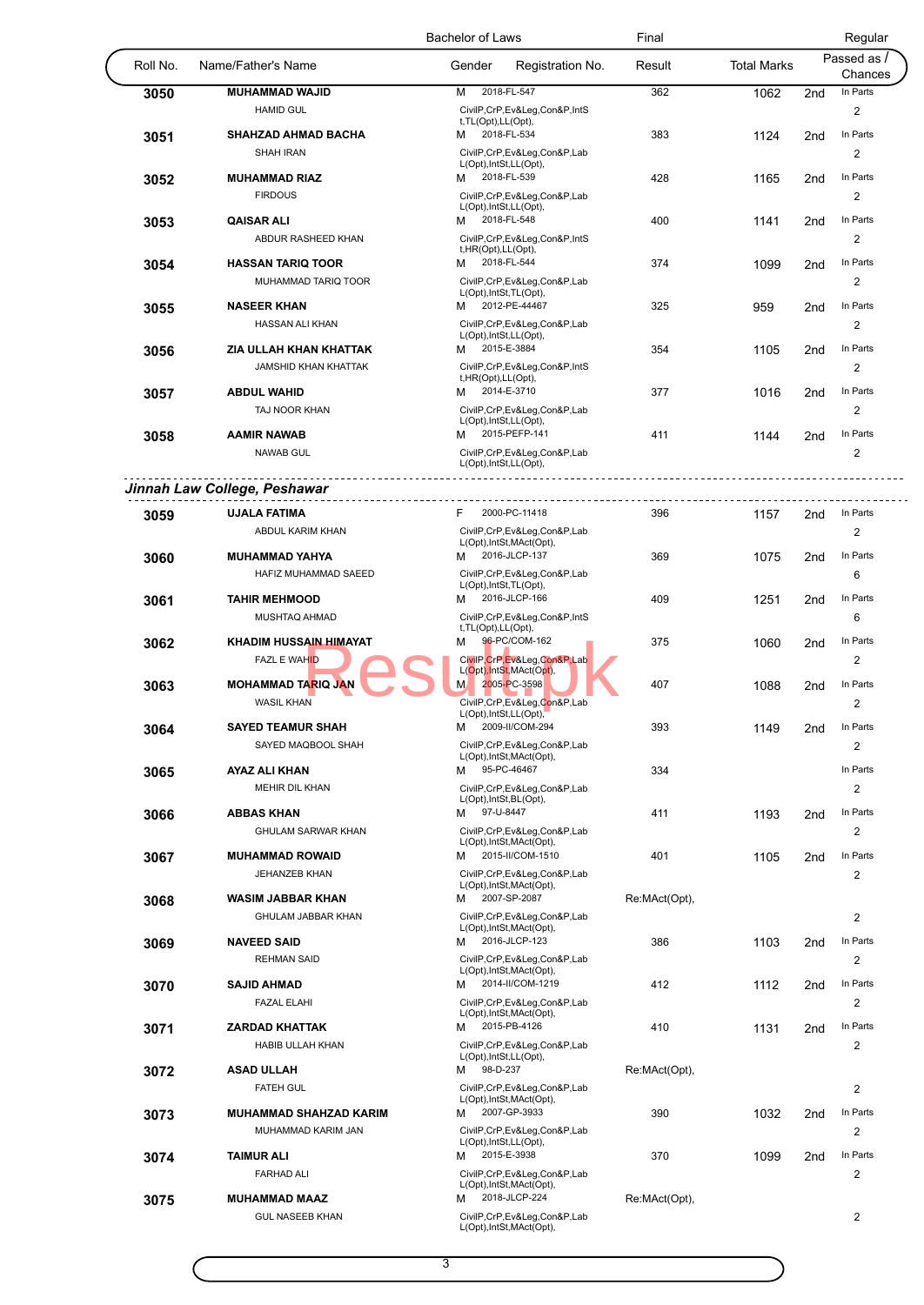|              |                                                | <b>Bachelor of Laws</b>                                  | Final         |             |                 | Regular              |
|--------------|------------------------------------------------|----------------------------------------------------------|---------------|-------------|-----------------|----------------------|
| Roll No.     | Name/Father's Name                             | Gender<br>Registration No.                               | Result        | Total Marks |                 | Passed as<br>Chances |
| 3050         | <b>MUHAMMAD WAJID</b>                          | 2018-FL-547<br>M                                         | 362           | 1062        | 2nd             | In Parts             |
|              | <b>HAMID GUL</b>                               | CivilP,CrP,Ev&Leg,Con&P,IntS<br>t, TL(Opt), LL(Opt),     |               |             |                 | 2                    |
| 3051         | SHAHZAD AHMAD BACHA                            | 2018-FL-534<br>м                                         | 383           | 1124        | 2 <sub>nd</sub> | In Parts             |
|              | <b>SHAH IRAN</b>                               | CivilP,CrP,Ev&Leg,Con&P,Lab<br>L(Opt), IntSt, LL(Opt),   |               |             |                 | 2                    |
| 3052         | <b>MUHAMMAD RIAZ</b>                           | 2018-FL-539<br>м                                         | 428           | 1165        | 2 <sub>nd</sub> | In Parts             |
|              | <b>FIRDOUS</b>                                 | CivilP,CrP,Ev&Leg,Con&P,Lab<br>L(Opt), IntSt, LL(Opt),   |               |             |                 | $\overline{c}$       |
| 3053         | <b>QAISAR ALI</b>                              | 2018-FL-548<br>м                                         | 400           | 1141        | 2 <sub>nd</sub> | In Parts             |
|              | ABDUR RASHEED KHAN                             | CivilP,CrP,Ev&Leg,Con&P,IntS<br>t, HR(Opt), LL(Opt),     |               |             |                 | 2                    |
| 3054         | <b>HASSAN TARIQ TOOR</b>                       | 2018-FL-544<br>м                                         | 374           | 1099        | 2 <sub>nd</sub> | In Parts             |
|              | MUHAMMAD TARIQ TOOR                            | CivilP,CrP,Ev&Leg,Con&P,Lab<br>L(Opt), IntSt, TL(Opt),   |               |             |                 | 2                    |
| 3055         | <b>NASEER KHAN</b>                             | 2012-PE-44467<br>M                                       | 325           | 959         | 2nd             | In Parts             |
|              | HASSAN ALI KHAN                                | CivilP,CrP,Ev&Leg,Con&P,Lab<br>L(Opt), IntSt, LL(Opt),   |               |             |                 | 2                    |
| 3056         | ZIA ULLAH KHAN KHATTAK                         | 2015-E-3884<br>м                                         | 354           | 1105        | 2 <sub>nd</sub> | In Parts             |
|              | <b>JAMSHID KHAN KHATTAK</b>                    | CivilP,CrP,Ev&Leg,Con&P,IntS<br>t, HR(Opt), LL(Opt),     |               |             |                 | 2                    |
| 3057         | <b>ABDUL WAHID</b>                             | 2014-E-3710<br>М                                         | 377           | 1016        | 2 <sub>nd</sub> | In Parts             |
|              | TAJ NOOR KHAN                                  | CivilP,CrP,Ev&Leg,Con&P,Lab<br>L(Opt), IntSt, LL(Opt),   |               |             |                 | 2                    |
| 3058         | <b>AAMIR NAWAB</b><br><b>NAWAB GUL</b>         | 2015-PEFP-141<br>м<br>CivilP,CrP,Ev&Leg,Con&P,Lab        | 411           | 1144        | 2 <sub>nd</sub> | In Parts<br>2        |
|              |                                                | L(Opt), IntSt, LL(Opt),                                  |               |             |                 |                      |
|              | Jinnah Law College, Peshawar<br>. <b>.</b>     |                                                          | -----------   |             |                 |                      |
| 3059         | <b>UJALA FATIMA</b>                            | 2000-PC-11418<br>F.                                      | 396           | 1157        | 2nd             | In Parts             |
|              | ABDUL KARIM KHAN                               | CivilP,CrP,Ev&Leg,Con&P,Lab<br>L(Opt), IntSt, MAct(Opt), |               |             |                 | 2                    |
| 3060         | <b>MUHAMMAD YAHYA</b>                          | 2016-JLCP-137<br>м                                       | 369           | 1075        | 2 <sub>nd</sub> | In Parts             |
|              | HAFIZ MUHAMMAD SAEED                           | CivilP,CrP,Ev&Leg,Con&P,Lab<br>L(Opt), IntSt, TL(Opt),   |               |             |                 | 6                    |
| 3061         | <b>TAHIR MEHMOOD</b>                           | 2016-JLCP-166<br>м                                       | 409           | 1251        | 2nd             | In Parts             |
|              | MUSHTAQ AHMAD                                  | CivilP,CrP,Ev&Leg,Con&P,IntS<br>t, TL(Opt), LL(Opt),     |               |             |                 | 6                    |
| 3062         | <b>KHADIM HUSSAIN HIMAYAT</b>                  | 96-PC/COM-162<br>м                                       | 375           | 1060        | 2 <sub>nd</sub> | In Parts             |
|              | <b>FAZL E WAHID</b>                            | CivilP, CrP, Ev&Leg, Con&P, Lab                          |               |             |                 | 2                    |
|              |                                                | L(Opt), IntSt, MAct(Opt),                                |               |             |                 |                      |
| 3063         | <b>MOHAMMAD TARIQ JAN</b><br><b>WASIL KHAN</b> | 2005-PC-3598<br>M<br>CivilP,CrP,Ev&Leg,Con&P,Lab         | 407           | 1088        | 2 <sub>nd</sub> | In Parts<br>2        |
|              |                                                | L(Opt), IntSt, LL(Opt),<br>M 2009-II/COM-294             |               |             |                 | In Parts             |
| 3064         | <b>SAYED TEAMUR SHAH</b>                       |                                                          | 393           | 1149        | 2nd             |                      |
|              | SAYED MAQBOOL SHAH                             | CivilP,CrP,Ev&Leg,Con&P,Lab<br>L(Opt), IntSt, MAct(Opt), |               |             |                 | 2                    |
| 3065         | AYAZ ALI KHAN                                  | 95-PC-46467<br>м                                         | 334           |             |                 | In Parts             |
|              | <b>MEHIR DIL KHAN</b>                          | CivilP,CrP,Ev&Leg,Con&P,Lab                              |               |             |                 | $\overline{2}$       |
|              |                                                | L(Opt), IntSt, BL(Opt),                                  |               |             |                 |                      |
| 3066         | <b>ABBAS KHAN</b>                              | 97-U-8447<br>M                                           | 411           | 1193        | 2nd             | In Parts             |
|              | GHULAM SARWAR KHAN                             | CivilP,CrP,Ev&Leg,Con&P,Lab<br>L(Opt), IntSt, MAct(Opt), |               |             |                 | 2                    |
| 3067         | <b>MUHAMMAD ROWAID</b>                         | M 2015-II/COM-1510                                       | 401           | 1105        | 2 <sub>nd</sub> | In Parts             |
|              | JEHANZEB KHAN                                  | CivilP,CrP,Ev&Leg,Con&P,Lab                              |               |             |                 | 2                    |
|              |                                                | L(Opt), IntSt, MAct(Opt),                                |               |             |                 |                      |
| 3068         | <b>WASIM JABBAR KHAN</b>                       | 2007-SP-2087<br>м                                        | Re:MAct(Opt), |             |                 |                      |
|              | GHULAM JABBAR KHAN                             | CivilP,CrP,Ev&Leg,Con&P,Lab<br>L(Opt), IntSt, MAct(Opt), |               |             |                 | $\overline{c}$       |
| 3069         | <b>NAVEED SAID</b>                             | 2016-JLCP-123<br>м                                       | 386           | 1103        | 2 <sub>nd</sub> | In Parts             |
|              | <b>REHMAN SAID</b>                             | CivilP,CrP,Ev&Leg,Con&P,Lab                              |               |             |                 | 2                    |
|              |                                                | L(Opt), IntSt, MAct(Opt),                                |               |             |                 |                      |
| 3070         | <b>SAJID AHMAD</b>                             | M 2014-II/COM-1219                                       | 412           | 1112        | 2 <sub>nd</sub> | In Parts             |
|              | <b>FAZAL ELAHI</b>                             | CivilP,CrP,Ev&Leg,Con&P,Lab<br>L(Opt), IntSt, MAct(Opt), |               |             |                 | 2                    |
| 3071         | <b>ZARDAD KHATTAK</b>                          | 2015-PB-4126<br>м                                        | 410           | 1131        | 2nd             | In Parts             |
|              | HABIB ULLAH KHAN                               | CivilP,CrP,Ev&Leg,Con&P,Lab<br>L(Opt), IntSt, LL(Opt),   |               |             |                 | 2                    |
|              |                                                | 98-D-237<br>м                                            | Re:MAct(Opt), |             |                 |                      |
|              | <b>ASAD ULLAH</b>                              |                                                          |               |             |                 | 2                    |
| 3072         | <b>FATEH GUL</b>                               | CivilP,CrP,Ev&Leg,Con&P,Lab                              |               |             |                 |                      |
|              |                                                | L(Opt), IntSt, MAct(Opt),                                |               |             |                 |                      |
| 3073         | <b>MUHAMMAD SHAHZAD KARIM</b>                  | 2007-GP-3933<br>м                                        | 390           | 1032        | 2 <sub>nd</sub> | In Parts             |
|              | MUHAMMAD KARIM JAN                             | CivilP,CrP,Ev&Leg,Con&P,Lab                              |               |             |                 | 2                    |
|              | <b>TAIMUR ALI</b>                              | L(Opt), IntSt, LL(Opt),<br>2015-E-3938<br>м              | 370           |             |                 | In Parts             |
|              | <b>FARHAD ALI</b>                              | CivilP,CrP,Ev&Leg,Con&P,Lab                              |               | 1099        | 2 <sub>nd</sub> | 2                    |
| 3074<br>3075 | <b>MUHAMMAD MAAZ</b>                           | L(Opt), IntSt, MAct(Opt),<br>2018-JLCP-224<br>м          | Re:MAct(Opt), |             |                 |                      |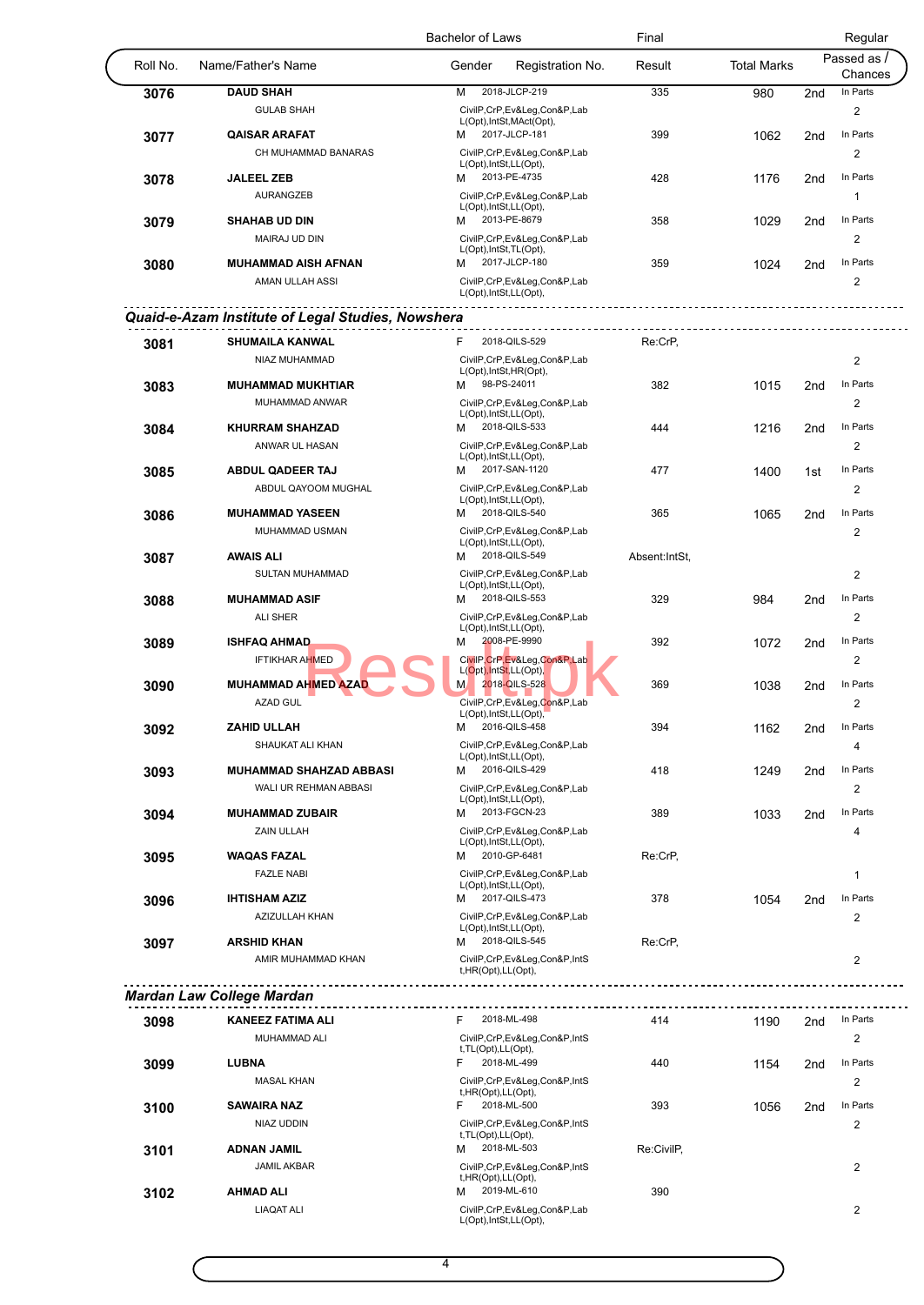|          |                                                   | <b>Bachelor of Laws</b>                                    | Final          |                    |                 | Regular                 |
|----------|---------------------------------------------------|------------------------------------------------------------|----------------|--------------------|-----------------|-------------------------|
| Roll No. | Name/Father's Name                                | Gender<br>Registration No.                                 | Result         | <b>Total Marks</b> |                 | Passed as /<br>Chances  |
| 3076     | <b>DAUD SHAH</b>                                  | 2018-JLCP-219<br>м                                         | 335            | 980                | 2 <sub>nd</sub> | In Parts                |
|          | <b>GULAB SHAH</b>                                 | CivilP,CrP,Ev&Leg,Con&P,Lab                                |                |                    |                 | 2                       |
| 3077     | <b>QAISAR ARAFAT</b>                              | L(Opt), IntSt, MAct(Opt),<br>2017-JLCP-181<br>м            | 399            | 1062               | 2 <sub>nd</sub> | In Parts                |
|          | CH MUHAMMAD BANARAS                               | CivilP,CrP,Ev&Leg,Con&P,Lab                                |                |                    |                 | 2                       |
|          |                                                   | L(Opt), IntSt, LL(Opt),                                    |                |                    |                 |                         |
| 3078     | <b>JALEEL ZEB</b><br><b>AURANGZEB</b>             | 2013-PE-4735<br>м                                          | 428            | 1176               | 2 <sub>nd</sub> | In Parts                |
|          |                                                   | CivilP,CrP,Ev&Leg,Con&P,Lab<br>L(Opt), IntSt, LL(Opt),     |                |                    |                 | $\mathbf{1}$            |
| 3079     | <b>SHAHAB UD DIN</b>                              | 2013-PE-8679<br>м                                          | 358            | 1029               | 2nd             | In Parts                |
|          | MAIRAJ UD DIN                                     | CivilP,CrP,Ev&Leg,Con&P,Lab<br>L(Opt), IntSt, TL(Opt),     |                |                    |                 | 2                       |
| 3080     | <b>MUHAMMAD AISH AFNAN</b>                        | 2017-JLCP-180<br>м                                         | 359            | 1024               | 2 <sub>nd</sub> | In Parts                |
|          | AMAN ULLAH ASSI                                   | CivilP,CrP,Ev&Leg,Con&P,Lab                                |                |                    |                 | $\overline{2}$          |
|          |                                                   | L(Opt), IntSt, LL(Opt),                                    |                |                    |                 |                         |
|          | Quaid-e-Azam Institute of Legal Studies, Nowshera |                                                            |                |                    |                 |                         |
| 3081     | <b>SHUMAILA KANWAL</b>                            | 2018-QILS-529<br>F                                         | Re:CrP,        |                    |                 |                         |
|          | NIAZ MUHAMMAD                                     | CivilP,CrP,Ev&Leg,Con&P,Lab                                |                |                    |                 | $\overline{2}$          |
|          |                                                   | L(Opt), IntSt, HR(Opt),                                    |                |                    |                 |                         |
| 3083     | <b>MUHAMMAD MUKHTIAR</b>                          | 98-PS-24011<br>м                                           | 382            | 1015               | 2nd             | In Parts                |
|          | MUHAMMAD ANWAR                                    | CivilP,CrP,Ev&Leg,Con&P,Lab<br>L(Opt), IntSt, LL(Opt),     |                |                    |                 | 2                       |
| 3084     | <b>KHURRAM SHAHZAD</b>                            | 2018-QILS-533<br>м                                         | 444            | 1216               | 2 <sub>nd</sub> | In Parts                |
|          | ANWAR UL HASAN                                    | CivilP,CrP,Ev&Leg,Con&P,Lab                                |                |                    |                 | $\overline{2}$          |
| 3085     | <b>ABDUL QADEER TAJ</b>                           | L(Opt), IntSt, LL(Opt),<br>2017-SAN-1120<br>м              | 477            | 1400               | 1st             | In Parts                |
|          | ABDUL QAYOOM MUGHAL                               | CivilP,CrP,Ev&Leg,Con&P,Lab                                |                |                    |                 | 2                       |
|          |                                                   | L(Opt), IntSt, LL(Opt),                                    |                |                    |                 |                         |
| 3086     | <b>MUHAMMAD YASEEN</b>                            | 2018-QILS-540<br>м                                         | 365            | 1065               | 2 <sub>nd</sub> | In Parts                |
|          | MUHAMMAD USMAN                                    | CivilP,CrP,Ev&Leg,Con&P,Lab<br>L(Opt), IntSt, LL(Opt),     |                |                    |                 | 2                       |
| 3087     | <b>AWAIS ALI</b>                                  | 2018-QILS-549<br>м                                         | Absent: IntSt, |                    |                 |                         |
|          | SULTAN MUHAMMAD                                   | CivilP,CrP,Ev&Leg,Con&P,Lab                                |                |                    |                 | $\overline{2}$          |
| 3088     | <b>MUHAMMAD ASIF</b>                              | L(Opt), IntSt, LL(Opt),<br>2018-QILS-553<br>м              | 329            | 984                | 2 <sub>nd</sub> | In Parts                |
|          | <b>ALI SHER</b>                                   | CivilP,CrP,Ev&Leg,Con&P,Lab                                |                |                    |                 | 2                       |
|          |                                                   | L(Opt), IntSt, LL(Opt),                                    |                |                    |                 |                         |
| 3089     | <b>ISHFAQ AHMAD</b>                               | 2008-PE-9990<br>M                                          | 392            | 1072               | 2 <sub>nd</sub> | In Parts                |
|          | <b>IFTIKHAR AHMED</b>                             | CivilP, CrP, Ev&Leg, Con&P, Lab<br>L(Opt), IntSt, LL(Opt), |                |                    |                 | $\overline{\mathbf{c}}$ |
| 3090     | <b>MUHAMMAD AHMED AZAD</b>                        | 2018-QILS-528<br>M                                         | 369            | 1038               | 2 <sub>nd</sub> | In Parts                |
|          | <b>AZAD GUL</b>                                   | CivilP,CrP,Ev&Leg,Con&P,Lab                                |                |                    |                 | 2                       |
|          | ZAHID ULLAH                                       | L(Opt), IntSt, LL(Opt),<br>2016-QILS-458<br>м              | 394            | 1162               | 2nd             | In Parts                |
| 3092     | SHAUKAT ALI KHAN                                  | CivilP,CrP,Ev&Leg,Con&P,Lab                                |                |                    |                 | 4                       |
|          |                                                   | L(Opt), IntSt, LL(Opt),                                    |                |                    |                 |                         |
| 3093     | <b>MUHAMMAD SHAHZAD ABBASI</b>                    | 2016-QILS-429<br>м                                         | 418            | 1249               | 2 <sub>nd</sub> | In Parts                |
|          | WALI UR REHMAN ABBASI                             | CivilP,CrP,Ev&Leg,Con&P,Lab<br>L(Opt), IntSt, LL(Opt),     |                |                    |                 | 2                       |
| 3094     | <b>MUHAMMAD ZUBAIR</b>                            | 2013-FGCN-23<br>м                                          | 389            | 1033               | 2 <sub>nd</sub> | In Parts                |
|          | ZAIN ULLAH                                        | CivilP,CrP,Ev&Leg,Con&P,Lab                                |                |                    |                 | 4                       |
| 3095     | <b>WAQAS FAZAL</b>                                | L(Opt), IntSt, LL(Opt),<br>2010-GP-6481<br>м               | Re:CrP,        |                    |                 |                         |
|          | <b>FAZLE NABI</b>                                 | CivilP,CrP,Ev&Leg,Con&P,Lab                                |                |                    |                 | $\mathbf{1}$            |
|          |                                                   | L(Opt), IntSt, LL(Opt),                                    |                |                    |                 |                         |
| 3096     | <b>IHTISHAM AZIZ</b>                              | 2017-QILS-473<br>м                                         | 378            | 1054               | 2nd             | In Parts                |
|          | AZIZULLAH KHAN                                    | CivilP,CrP,Ev&Leg,Con&P,Lab<br>L(Opt), IntSt, LL(Opt),     |                |                    |                 | 2                       |
| 3097     | <b>ARSHID KHAN</b>                                | 2018-QILS-545<br>м                                         | Re:CrP,        |                    |                 |                         |
|          | AMIR MUHAMMAD KHAN                                | CivilP,CrP,Ev&Leg,Con&P,IntS                               |                |                    |                 | $\overline{c}$          |
|          |                                                   | t, HR(Opt), LL(Opt),                                       |                |                    |                 |                         |
|          | <b>Mardan Law College Mardan</b>                  | <u>.</u>                                                   |                |                    |                 |                         |
| 3098     | <b>KANEEZ FATIMA ALI</b>                          | 2018-ML-498<br>F.                                          | 414            | 1190               | 2nd             | In Parts                |
|          | MUHAMMAD ALI                                      | CivilP,CrP,Ev&Leg,Con&P,IntS                               |                |                    |                 | 2                       |
|          |                                                   | t, TL(Opt), LL(Opt),                                       |                |                    |                 |                         |
| 3099     | <b>LUBNA</b>                                      | 2018-ML-499<br>F                                           | 440            | 1154               | 2nd             | In Parts                |
|          | <b>MASAL KHAN</b>                                 | CivilP,CrP,Ev&Leg,Con&P,IntS<br>t, HR(Opt), LL(Opt),       |                |                    |                 | 2                       |
| 3100     | <b>SAWAIRA NAZ</b>                                | 2018-ML-500<br>F.                                          | 393            | 1056               | 2nd             | In Parts                |
|          | NIAZ UDDIN                                        | CivilP,CrP,Ev&Leg,Con&P,IntS                               |                |                    |                 | 2                       |
| 3101     | <b>ADNAN JAMIL</b>                                | t, TL(Opt), LL(Opt),<br>2018-ML-503<br>м                   | Re:CivilP,     |                    |                 |                         |
|          | <b>JAMIL AKBAR</b>                                | CivilP,CrP,Ev&Leg,Con&P,IntS                               |                |                    |                 | 2                       |
|          |                                                   | t, HR(Opt), LL(Opt),                                       |                |                    |                 |                         |
| 3102     | <b>AHMAD ALI</b>                                  | 2019-ML-610<br>М                                           | 390            |                    |                 |                         |
|          | <b>LIAQAT ALI</b>                                 | CivilP,CrP,Ev&Leg,Con&P,Lab<br>L(Opt), IntSt, LL(Opt),     |                |                    |                 | $\overline{\mathbf{c}}$ |
|          |                                                   |                                                            |                |                    |                 |                         |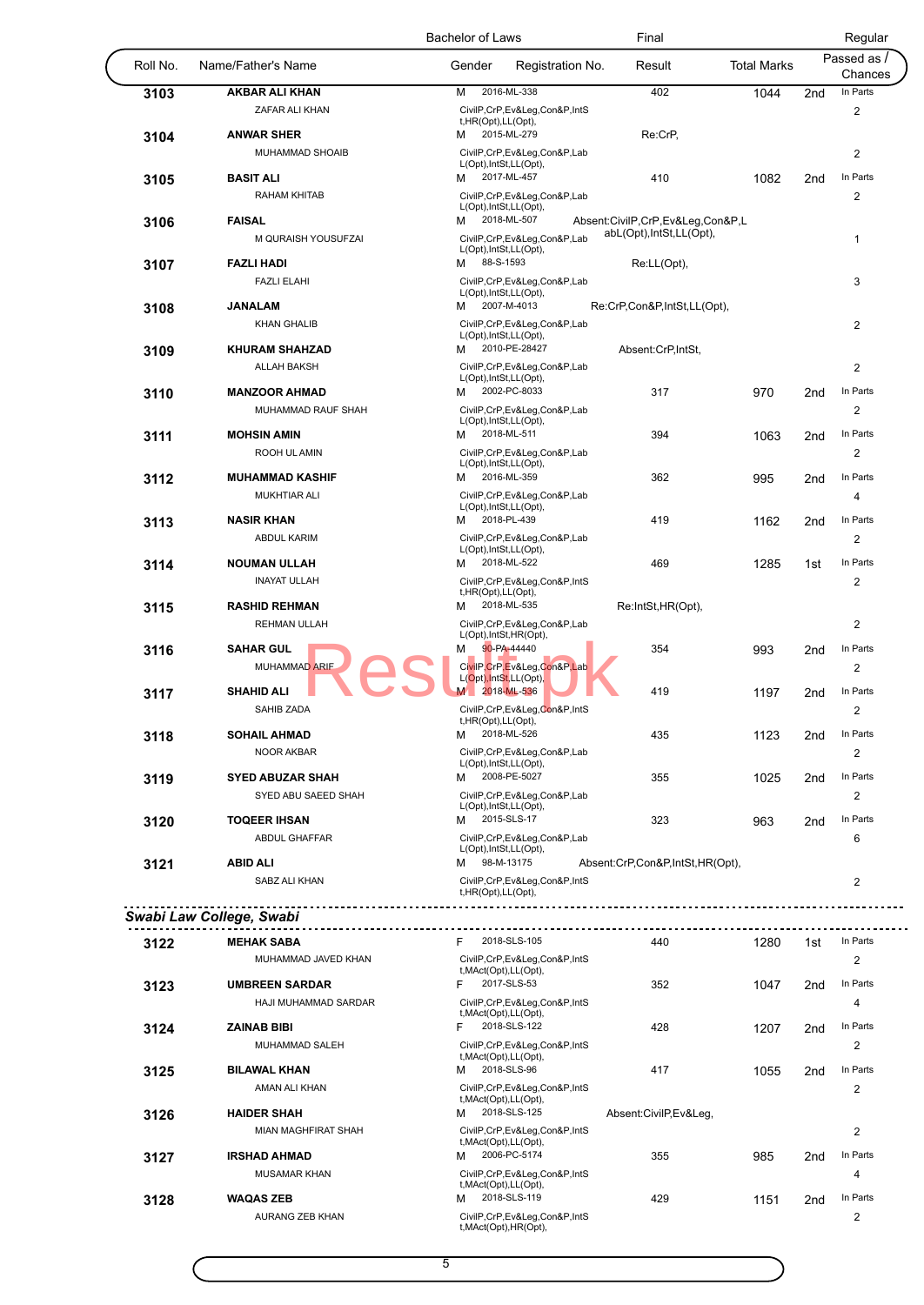|          |                                            | <b>Bachelor of Laws</b>                                | Final                                                         |                    |                 | Regular                             |
|----------|--------------------------------------------|--------------------------------------------------------|---------------------------------------------------------------|--------------------|-----------------|-------------------------------------|
| Roll No. | Name/Father's Name                         | Gender<br>Registration No.                             | Result                                                        | <b>Total Marks</b> |                 | Passed as /<br>Chances              |
| 3103     | <b>AKBAR ALI KHAN</b>                      | 2016-ML-338<br>M                                       | 402                                                           | 1044               | 2 <sub>nd</sub> | In Parts                            |
|          | ZAFAR ALI KHAN                             | CivilP,CrP,Ev&Leg,Con&P,IntS                           |                                                               |                    |                 | 2                                   |
|          | <b>ANWAR SHER</b>                          | t, HR(Opt), LL(Opt),<br>2015-ML-279<br>м               | Re:CrP,                                                       |                    |                 |                                     |
| 3104     |                                            |                                                        |                                                               |                    |                 |                                     |
|          | MUHAMMAD SHOAIB                            | CivilP,CrP,Ev&Leg,Con&P,Lab<br>L(Opt), IntSt, LL(Opt), |                                                               |                    |                 | 2                                   |
| 3105     | <b>BASIT ALI</b>                           | 2017-ML-457<br>м                                       | 410                                                           | 1082               | 2 <sub>nd</sub> | In Parts                            |
|          | <b>RAHAM KHITAB</b>                        | CivilP,CrP,Ev&Leg,Con&P,Lab                            |                                                               |                    |                 | 2                                   |
|          |                                            | L(Opt), IntSt, LL(Opt),                                |                                                               |                    |                 |                                     |
| 3106     | <b>FAISAL</b>                              | 2018-ML-507<br>м                                       | Absent:CivilP,CrP,Ev&Leg,Con&P,L<br>abL(Opt), IntSt, LL(Opt), |                    |                 |                                     |
|          | M QURAISH YOUSUFZAI                        | CivilP,CrP,Ev&Leg,Con&P,Lab<br>L(Opt), IntSt, LL(Opt), |                                                               |                    |                 | 1                                   |
| 3107     | <b>FAZLI HADI</b>                          | 88-S-1593<br>м                                         | Re:LL(Opt),                                                   |                    |                 |                                     |
|          | <b>FAZLI ELAHI</b>                         | CivilP,CrP,Ev&Leg,Con&P,Lab                            |                                                               |                    |                 | 3                                   |
|          |                                            | L(Opt), IntSt, LL(Opt),                                |                                                               |                    |                 |                                     |
| 3108     | <b>JANALAM</b>                             | 2007-M-4013<br>м                                       | Re:CrP,Con&P,IntSt,LL(Opt),                                   |                    |                 |                                     |
|          | <b>KHAN GHALIB</b>                         | CivilP,CrP,Ev&Leg,Con&P,Lab<br>L(Opt), IntSt, LL(Opt), |                                                               |                    |                 | 2                                   |
| 3109     | <b>KHURAM SHAHZAD</b>                      | 2010-PE-28427<br>м                                     | Absent:CrP,IntSt,                                             |                    |                 |                                     |
|          | <b>ALLAH BAKSH</b>                         | CivilP,CrP,Ev&Leg,Con&P,Lab                            |                                                               |                    |                 | $\overline{2}$                      |
|          |                                            | L(Opt), IntSt, LL(Opt),                                |                                                               |                    |                 |                                     |
| 3110     | <b>MANZOOR AHMAD</b>                       | 2002-PC-8033<br>м                                      | 317                                                           | 970                | 2 <sub>nd</sub> | In Parts                            |
|          | MUHAMMAD RAUF SHAH                         | CivilP,CrP,Ev&Leg,Con&P,Lab                            |                                                               |                    |                 | $\overline{2}$                      |
|          | <b>MOHSIN AMIN</b>                         | L(Opt), IntSt, LL(Opt),<br>2018-ML-511<br>м            | 394                                                           |                    | 2 <sub>nd</sub> | In Parts                            |
| 3111     |                                            | CivilP,CrP,Ev&Leg,Con&P,Lab                            |                                                               | 1063               |                 |                                     |
|          | ROOH UL AMIN                               | L(Opt), IntSt, LL(Opt),                                |                                                               |                    |                 | 2                                   |
| 3112     | <b>MUHAMMAD KASHIF</b>                     | 2016-ML-359<br>м                                       | 362                                                           | 995                | 2nd             | In Parts                            |
|          | <b>MUKHTIAR ALI</b>                        | CivilP,CrP,Ev&Leg,Con&P,Lab                            |                                                               |                    |                 | 4                                   |
|          |                                            | L(Opt), IntSt, LL(Opt),                                |                                                               |                    |                 |                                     |
| 3113     | <b>NASIR KHAN</b>                          | 2018-PL-439<br>м                                       | 419                                                           | 1162               | 2nd             | In Parts                            |
|          | <b>ABDUL KARIM</b>                         | CivilP,CrP,Ev&Leg,Con&P,Lab<br>L(Opt), IntSt, LL(Opt), |                                                               |                    |                 | $\overline{2}$                      |
| 3114     | <b>NOUMAN ULLAH</b>                        | 2018-ML-522<br>м                                       | 469                                                           | 1285               | 1st             | In Parts                            |
|          | <b>INAYAT ULLAH</b>                        | CivilP,CrP,Ev&Leg,Con&P,IntS                           |                                                               |                    |                 | 2                                   |
|          |                                            | t, HR(Opt), LL(Opt),                                   |                                                               |                    |                 |                                     |
| 3115     | <b>RASHID REHMAN</b>                       | 2018-ML-535<br>M                                       | Re:IntSt,HR(Opt),                                             |                    |                 |                                     |
|          | <b>REHMAN ULLAH</b>                        | CivilP,CrP,Ev&Leg,Con&P,Lab                            |                                                               |                    |                 | 2                                   |
| 3116     | <b>SAHAR GUL</b>                           | L(Opt), IntSt, HR(Opt),<br>90-PA-44440<br>М            | 354                                                           | 993                | 2 <sub>nd</sub> | In Parts                            |
|          | MUHAMMAD ARIF                              | CivilP,CrP,Ev&Leg,Con&P,Lab                            |                                                               |                    |                 | 2                                   |
|          |                                            | L(Opt), IntSt, LL(Opt),                                |                                                               |                    |                 |                                     |
| 3117     | <b>SHAHID ALI</b>                          | 2018-ML-536<br>W                                       | 419                                                           | 1197               | 2nd             | In Parts                            |
|          | <b>SAHIB ZADA</b>                          | CivilP,CrP,Ev&Leg,Con&P,IntS                           |                                                               |                    |                 | 2                                   |
|          | <b>SOHAIL AHMAD</b>                        | t, HR(Opt), LL(Opt),<br>2018-ML-526<br>м               | 435                                                           | 1123               | 2nd             | In Parts                            |
| 3118     | NOOR AKBAR                                 |                                                        |                                                               |                    |                 |                                     |
|          |                                            | CivilP,CrP,Ev&Leg,Con&P,Lab<br>L(Opt), IntSt, LL(Opt), |                                                               |                    |                 | 2                                   |
| 3119     | <b>SYED ABUZAR SHAH</b>                    | 2008-PE-5027<br>м                                      | 355                                                           | 1025               | 2 <sub>nd</sub> | In Parts                            |
|          | SYED ABU SAEED SHAH                        | CivilP,CrP,Ev&Leg,Con&P,Lab                            |                                                               |                    |                 | 2                                   |
|          |                                            | L(Opt), IntSt, LL(Opt),                                |                                                               |                    |                 |                                     |
| 3120     | <b>TOQEER IHSAN</b>                        | 2015-SLS-17<br>м                                       | 323                                                           | 963                | 2 <sub>nd</sub> | In Parts                            |
|          | ABDUL GHAFFAR                              | CivilP,CrP,Ev&Leg,Con&P,Lab<br>L(Opt), IntSt, LL(Opt), |                                                               |                    |                 | 6                                   |
| 3121     | <b>ABID ALI</b>                            | 98-M-13175<br>м                                        | Absent:CrP,Con&P,IntSt,HR(Opt),                               |                    |                 |                                     |
|          | SABZ ALI KHAN                              | CivilP,CrP,Ev&Leg,Con&P,IntS                           |                                                               |                    |                 | 2                                   |
|          |                                            | t, HR(Opt), LL(Opt),                                   |                                                               |                    |                 |                                     |
|          | <u></u><br>Swabi Law College, Swabi        |                                                        |                                                               |                    |                 |                                     |
|          |                                            |                                                        |                                                               |                    |                 |                                     |
| 3122     | <b>MEHAK SABA</b>                          | 2018-SLS-105<br>F.                                     | 440                                                           | 1280               | 1st             | In Parts                            |
|          | MUHAMMAD JAVED KHAN                        | CivilP,CrP,Ev&Leg,Con&P,IntS                           |                                                               |                    |                 | 2                                   |
|          | <b>UMBREEN SARDAR</b>                      | t, MAct(Opt), LL(Opt),<br>2017-SLS-53<br>F.            | 352                                                           |                    |                 | In Parts                            |
| 3123     |                                            |                                                        |                                                               | 1047               | 2nd             |                                     |
|          | HAJI MUHAMMAD SARDAR                       | CivilP,CrP,Ev&Leg,Con&P,IntS<br>t, MAct(Opt), LL(Opt), |                                                               |                    |                 | 4                                   |
| 3124     | <b>ZAINAB BIBI</b>                         | 2018-SLS-122<br>F.                                     | 428                                                           | 1207               | 2 <sub>nd</sub> | In Parts                            |
|          | MUHAMMAD SALEH                             | CivilP,CrP,Ev&Leg,Con&P,IntS                           |                                                               |                    |                 | 2                                   |
|          |                                            | t, MAct(Opt), LL(Opt),                                 |                                                               |                    |                 |                                     |
| 3125     | <b>BILAWAL KHAN</b>                        | 2018-SLS-96<br>м                                       | 417                                                           | 1055               | 2nd             | In Parts                            |
|          | AMAN ALI KHAN                              | CivilP,CrP,Ev&Leg,Con&P,IntS<br>t, MAct(Opt), LL(Opt), |                                                               |                    |                 | 2                                   |
| 3126     | <b>HAIDER SHAH</b>                         | 2018-SLS-125<br>м                                      | Absent:CivilP,Ev&Leg,                                         |                    |                 |                                     |
|          | <b>MIAN MAGHFIRAT SHAH</b>                 | CivilP,CrP,Ev&Leg,Con&P,IntS                           |                                                               |                    |                 | $\overline{2}$                      |
|          |                                            | t, MAct(Opt), LL(Opt),                                 |                                                               |                    |                 |                                     |
|          |                                            |                                                        | 355                                                           | 985                | 2 <sub>nd</sub> | In Parts                            |
| 3127     | <b>IRSHAD AHMAD</b>                        | 2006-PC-5174<br>M                                      |                                                               |                    |                 |                                     |
|          | MUSAMAR KHAN                               | CivilP,CrP,Ev&Leg,Con&P,IntS                           |                                                               |                    |                 | 4                                   |
|          |                                            | t, MAct(Opt), LL(Opt),                                 |                                                               |                    |                 |                                     |
| 3128     | <b>WAQAS ZEB</b><br><b>AURANG ZEB KHAN</b> | 2018-SLS-119<br>М<br>CivilP,CrP,Ev&Leg,Con&P,IntS      | 429                                                           | 1151               | 2nd             | In Parts<br>$\overline{\mathbf{c}}$ |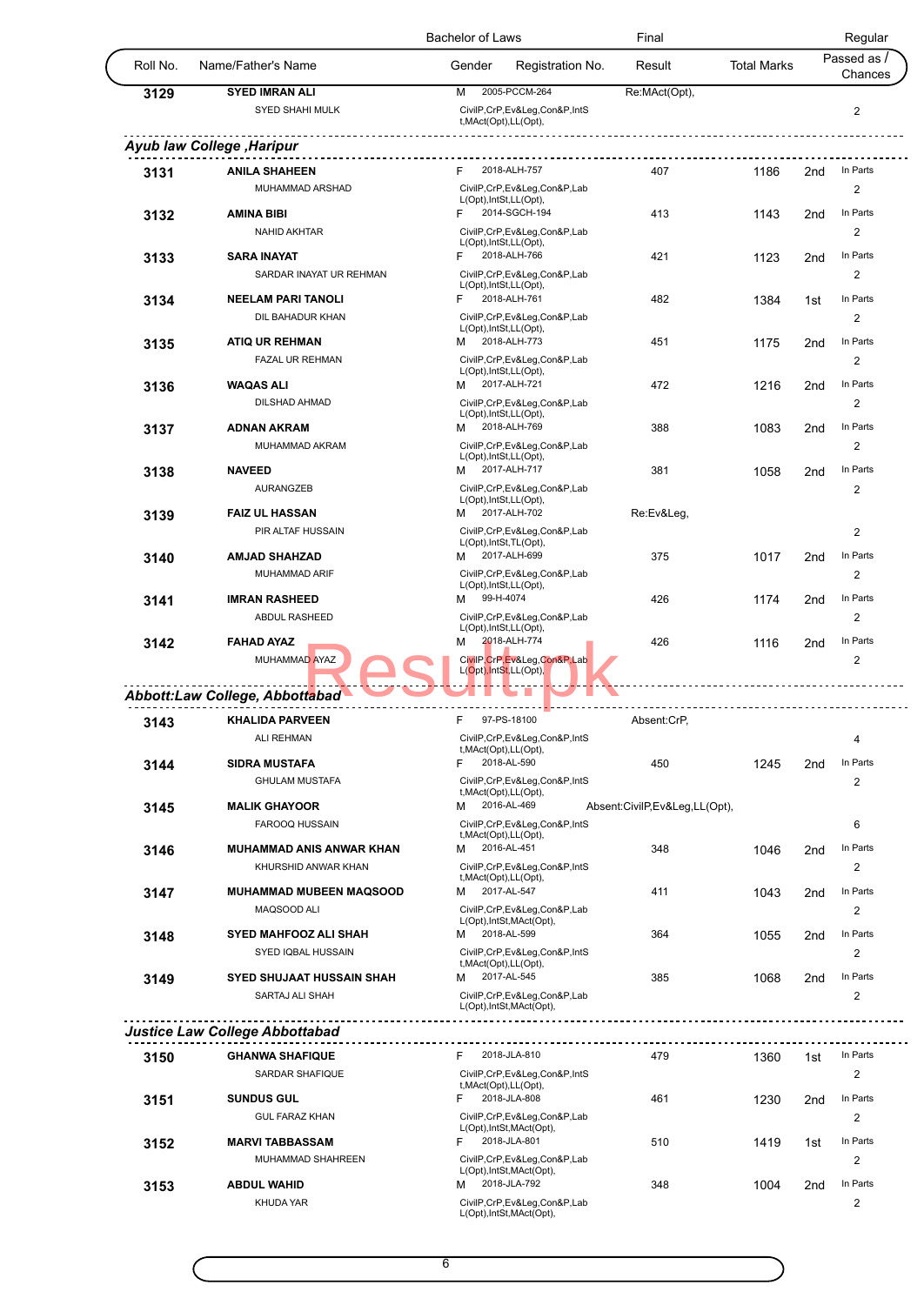|          |                                       | <b>Bachelor of Laws</b>                                                         | Final                         |                    | Regular                                   |
|----------|---------------------------------------|---------------------------------------------------------------------------------|-------------------------------|--------------------|-------------------------------------------|
| Roll No. | Name/Father's Name                    | Gender<br>Registration No.                                                      | Result                        | <b>Total Marks</b> | Passed as<br>Chances                      |
| 3129     | <b>SYED IMRAN ALI</b>                 | 2005-PCCM-264<br>M                                                              | Re:MAct(Opt),                 |                    |                                           |
|          | SYED SHAHI MULK                       | CivilP,CrP,Ev&Leg,Con&P,IntS<br>t, MAct(Opt), LL(Opt),                          |                               |                    | $\sqrt{2}$                                |
|          | Ayub law College , Haripur            |                                                                                 |                               |                    |                                           |
| 3131     | <b>ANILA SHAHEEN</b>                  | 2018-ALH-757<br>F                                                               | 407                           | 1186               | In Parts<br>2 <sub>nd</sub>               |
|          | MUHAMMAD ARSHAD                       | CivilP,CrP,Ev&Leg,Con&P,Lab                                                     |                               |                    | 2                                         |
|          | <b>AMINA BIBI</b>                     | L(Opt), IntSt, LL(Opt),<br>2014-SGCH-194<br>F                                   | 413                           | 1143               | In Parts<br>2nd                           |
| 3132     | <b>NAHID AKHTAR</b>                   | CivilP,CrP,Ev&Leg,Con&P,Lab                                                     |                               |                    | 2                                         |
|          |                                       | L(Opt), IntSt, LL(Opt),                                                         |                               |                    |                                           |
| 3133     | <b>SARA INAYAT</b>                    | 2018-ALH-766<br>F.                                                              | 421                           | 1123               | In Parts<br>2 <sub>nd</sub>               |
|          | SARDAR INAYAT UR REHMAN               | CivilP,CrP,Ev&Leg,Con&P,Lab<br>L(Opt), IntSt, LL(Opt),                          |                               |                    | 2                                         |
| 3134     | <b>NEELAM PARI TANOLI</b>             | 2018-ALH-761<br>F                                                               | 482                           | 1384               | In Parts<br>1st                           |
|          | DIL BAHADUR KHAN                      | CivilP,CrP,Ev&Leg,Con&P,Lab                                                     |                               |                    | $\overline{2}$                            |
| 3135     | <b>ATIQ UR REHMAN</b>                 | L(Opt), IntSt, LL(Opt),<br>2018-ALH-773<br>м                                    | 451                           | 1175               | In Parts<br>2nd                           |
|          | FAZAL UR REHMAN                       | CivilP,CrP,Ev&Leg,Con&P,Lab                                                     |                               |                    | 2                                         |
|          |                                       | L(Opt), IntSt, LL(Opt),                                                         |                               |                    |                                           |
| 3136     | <b>WAQAS ALI</b>                      | 2017-ALH-721<br>м                                                               | 472                           | 1216               | In Parts<br>2 <sub>nd</sub>               |
|          | <b>DILSHAD AHMAD</b>                  | CivilP,CrP,Ev&Leg,Con&P,Lab<br>L(Opt), IntSt, LL(Opt),                          |                               |                    | 2                                         |
| 3137     | <b>ADNAN AKRAM</b>                    | 2018-ALH-769<br>м                                                               | 388                           | 1083               | In Parts<br>2 <sub>nd</sub>               |
|          | MUHAMMAD AKRAM                        | CivilP,CrP,Ev&Leg,Con&P,Lab                                                     |                               |                    | 2                                         |
| 3138     | <b>NAVEED</b>                         | L(Opt), IntSt, LL(Opt),<br>2017-ALH-717<br>м                                    | 381                           | 1058               | In Parts<br>2 <sub>nd</sub>               |
|          | <b>AURANGZEB</b>                      | CivilP,CrP,Ev&Leg,Con&P,Lab                                                     |                               |                    | 2                                         |
|          |                                       | L(Opt), IntSt, LL(Opt),                                                         |                               |                    |                                           |
| 3139     | <b>FAIZ UL HASSAN</b>                 | 2017-ALH-702<br>м                                                               | Re:Ev&Leg,                    |                    |                                           |
|          | PIR ALTAF HUSSAIN                     | CivilP,CrP,Ev&Leg,Con&P,Lab<br>L(Opt), IntSt, TL(Opt),                          |                               |                    | $\overline{c}$                            |
| 3140     | <b>AMJAD SHAHZAD</b>                  | 2017-ALH-699<br>м                                                               | 375                           | 1017               | 2 <sub>nd</sub><br>In Parts               |
|          | MUHAMMAD ARIF                         | CivilP,CrP,Ev&Leg,Con&P,Lab                                                     |                               |                    | 2                                         |
| 3141     | <b>IMRAN RASHEED</b>                  | L(Opt), IntSt, LL(Opt),<br>99-H-4074<br>м                                       | 426                           | 1174               | In Parts<br>2 <sub>nd</sub>               |
|          | ABDUL RASHEED                         | CivilP,CrP,Ev&Leg,Con&P,Lab                                                     |                               |                    | 2                                         |
|          |                                       | L(Opt), IntSt, LL(Opt),                                                         |                               |                    |                                           |
| 3142     | <b>FAHAD AYAZ</b><br>MUHAMMAD AYAZ    | 2018-ALH-774<br>м<br>CivilP, CrP, Ev&Leg, Con&P, Lab<br>L(Opt), IntSt, LL(Opt), | 426                           | 1116               | In Parts<br>2 <sub>nd</sub><br>$\sqrt{2}$ |
|          | Abbott:Law College, Abbottabad        |                                                                                 |                               |                    |                                           |
|          |                                       | 97-PS-18100<br>F                                                                | Absent:CrP,                   |                    |                                           |
| 3143     | <b>KHALIDA PARVEEN</b>                | CivilP,CrP,Ev&Leg,Con&P,IntS                                                    |                               |                    |                                           |
|          | ALI REHMAN                            | t, MAct(Opt), LL(Opt),                                                          |                               |                    | 4                                         |
| 3144     | <b>SIDRA MUSTAFA</b>                  | 2018-AL-590<br>F                                                                | 450                           | 1245               | 2 <sub>nd</sub><br>In Parts               |
|          | <b>GHULAM MUSTAFA</b>                 | CivilP,CrP,Ev&Leg,Con&P,IntS                                                    |                               |                    | 2                                         |
| 3145     | <b>MALIK GHAYOOR</b>                  | t, MAct(Opt), LL(Opt),<br>2016-AL-469<br>м                                      | Absent:CivilP,Ev&Leg,LL(Opt), |                    |                                           |
|          | FAROOQ HUSSAIN                        | CivilP,CrP,Ev&Leg,Con&P,IntS                                                    |                               |                    | 6                                         |
|          |                                       | t, MAct(Opt), LL(Opt),<br>2016-AL-451                                           |                               |                    | In Parts                                  |
| 3146     | <b>MUHAMMAD ANIS ANWAR KHAN</b>       | м                                                                               | 348                           | 1046               | 2 <sub>nd</sub>                           |
|          | KHURSHID ANWAR KHAN                   | CivilP,CrP,Ev&Leg,Con&P,IntS<br>t, MAct(Opt), LL(Opt),                          |                               |                    | 2                                         |
| 3147     | <b>MUHAMMAD MUBEEN MAQSOOD</b>        | 2017-AL-547<br>м                                                                | 411                           | 1043               | In Parts<br>2 <sub>nd</sub>               |
|          | MAQSOOD ALI                           | CivilP,CrP,Ev&Leg,Con&P,Lab<br>L(Opt), IntSt, MAct(Opt),                        |                               |                    | 2                                         |
| 3148     | <b>SYED MAHFOOZ ALI SHAH</b>          | 2018-AL-599<br>м                                                                | 364                           | 1055               | In Parts<br>2 <sub>nd</sub>               |
|          | SYED IQBAL HUSSAIN                    | CivilP,CrP,Ev&Leg,Con&P,IntS                                                    |                               |                    | 2                                         |
|          |                                       | t, MAct(Opt), LL(Opt),<br>2017-AL-545<br>м                                      |                               |                    | In Parts                                  |
| 3149     | SYED SHUJAAT HUSSAIN SHAH             |                                                                                 | 385                           | 1068               | 2 <sub>nd</sub>                           |
|          | SARTAJ ALI SHAH                       | CivilP,CrP,Ev&Leg,Con&P,Lab<br>L(Opt), IntSt, MAct(Opt),                        |                               |                    | 2                                         |
|          | <b>Justice Law College Abbottabad</b> |                                                                                 |                               |                    |                                           |
|          |                                       | 2018-JLA-810<br>F.                                                              | 479                           |                    | In Parts                                  |
| 3150     | <b>GHANWA SHAFIQUE</b>                |                                                                                 |                               | 1360               | 1st                                       |
|          | SARDAR SHAFIQUE                       | CivilP,CrP,Ev&Leg,Con&P,IntS<br>t, MAct(Opt), LL(Opt),                          |                               |                    | 2                                         |
| 3151     | <b>SUNDUS GUL</b>                     | 2018-JLA-808<br>F                                                               | 461                           | 1230               | In Parts<br>2 <sub>nd</sub>               |
|          | <b>GUL FARAZ KHAN</b>                 | CivilP,CrP,Ev&Leg,Con&P,Lab                                                     |                               |                    | 2                                         |
| 3152     | <b>MARVI TABBASSAM</b>                | L(Opt), IntSt, MAct(Opt),<br>F<br>2018-JLA-801                                  | 510                           | 1419               | In Parts<br>1st                           |
|          | MUHAMMAD SHAHREEN                     | CivilP,CrP,Ev&Leg,Con&P,Lab                                                     |                               |                    | 2                                         |
|          |                                       | L(Opt), IntSt, MAct(Opt),                                                       |                               |                    |                                           |
| 3153     | <b>ABDUL WAHID</b>                    | 2018-JLA-792<br>м                                                               | 348                           | 1004               | In Parts<br>2 <sub>nd</sub>               |
|          | <b>KHUDA YAR</b>                      | CivilP,CrP,Ev&Leg,Con&P,Lab<br>L(Opt), IntSt, MAct(Opt),                        |                               |                    | 2                                         |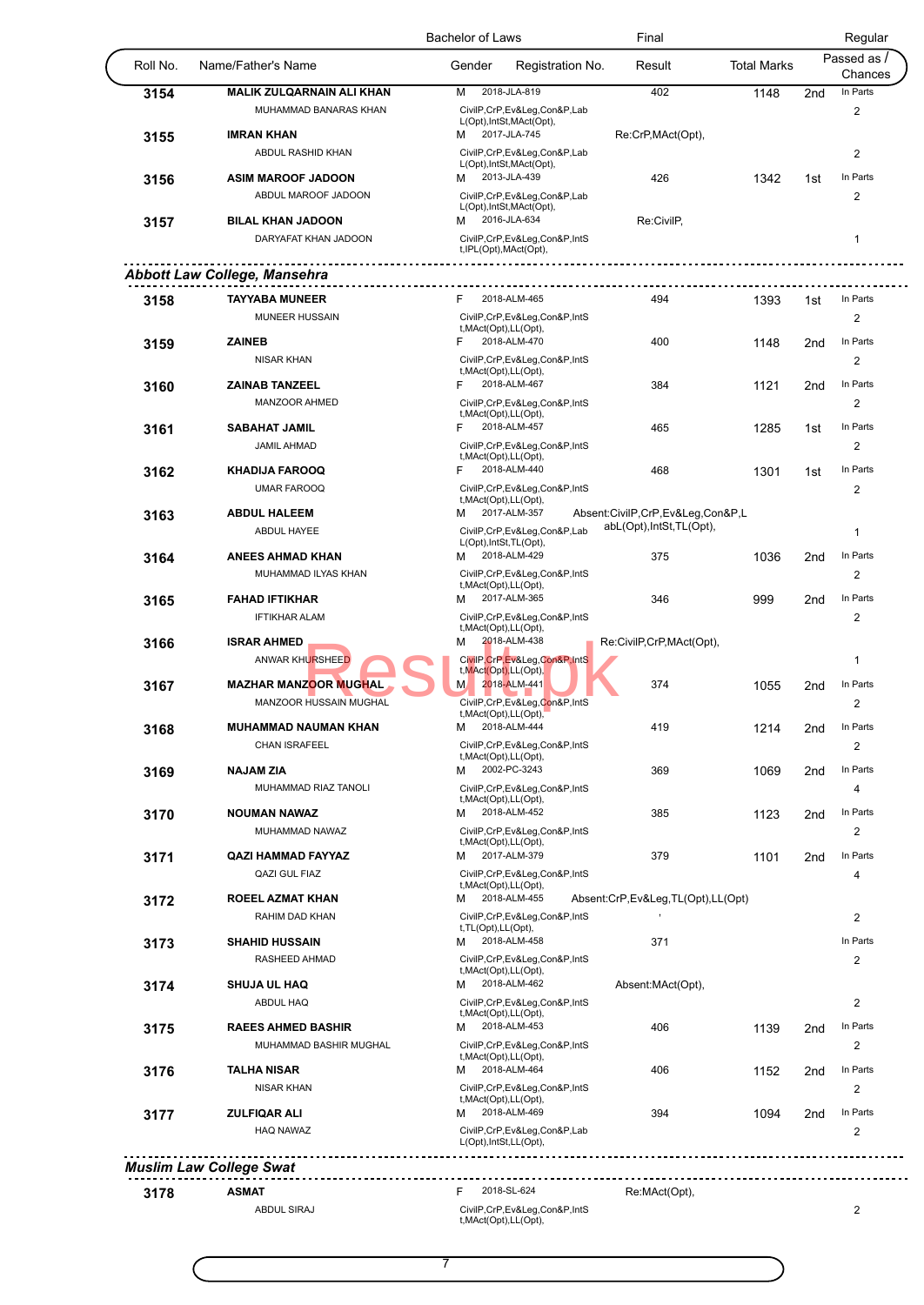|          |                                     | <b>Bachelor of Laws</b>                                    | Final                             |                    |                 | Regular                 |
|----------|-------------------------------------|------------------------------------------------------------|-----------------------------------|--------------------|-----------------|-------------------------|
| Roll No. | Name/Father's Name                  | Registration No.<br>Gender                                 | Result                            | <b>Total Marks</b> |                 | Passed as /<br>Chances  |
| 3154     | <b>MALIK ZULQARNAIN ALI KHAN</b>    | 2018-JLA-819<br>м                                          | 402                               | 1148               | 2 <sub>nd</sub> | In Parts                |
|          | MUHAMMAD BANARAS KHAN               | CivilP,CrP,Ev&Leg,Con&P,Lab                                |                                   |                    |                 | 2                       |
|          | <b>IMRAN KHAN</b>                   | L(Opt), IntSt, MAct(Opt),<br>2017-JLA-745<br>м             | Re:CrP, MAct(Opt),                |                    |                 |                         |
| 3155     | ABDUL RASHID KHAN                   | CivilP,CrP,Ev&Leg,Con&P,Lab                                |                                   |                    |                 | $\overline{2}$          |
|          |                                     | L(Opt), IntSt, MAct(Opt),                                  |                                   |                    |                 |                         |
| 3156     | <b>ASIM MAROOF JADOON</b>           | 2013-JLA-439<br>M                                          | 426                               | 1342               | 1st             | In Parts                |
|          | ABDUL MAROOF JADOON                 | CivilP,CrP,Ev&Leg,Con&P,Lab                                |                                   |                    |                 | 2                       |
| 3157     | <b>BILAL KHAN JADOON</b>            | L(Opt), IntSt, MAct(Opt),<br>2016-JLA-634<br>м             | Re:CivilP,                        |                    |                 |                         |
|          | DARYAFAT KHAN JADOON                | CivilP,CrP,Ev&Leg,Con&P,IntS                               |                                   |                    |                 | $\mathbf{1}$            |
|          |                                     | t, IPL(Opt), MAct(Opt),                                    |                                   |                    |                 |                         |
|          | <b>Abbott Law College, Mansehra</b> |                                                            |                                   |                    |                 |                         |
|          |                                     |                                                            |                                   |                    |                 |                         |
| 3158     | <b>TAYYABA MUNEER</b>               | 2018-ALM-465<br>F                                          | 494                               | 1393               | 1st             | In Parts                |
|          | <b>MUNEER HUSSAIN</b>               | CivilP,CrP,Ev&Leg,Con&P,IntS<br>t, MAct(Opt), LL(Opt),     |                                   |                    |                 | 2                       |
| 3159     | <b>ZAINEB</b>                       | 2018-ALM-470<br>F                                          | 400                               | 1148               | 2nd             | In Parts                |
|          | <b>NISAR KHAN</b>                   | CivilP,CrP,Ev&Leg,Con&P,IntS                               |                                   |                    |                 | 2                       |
|          |                                     | t, MAct(Opt), LL(Opt),                                     |                                   |                    |                 |                         |
| 3160     | <b>ZAINAB TANZEEL</b>               | 2018-ALM-467<br>F                                          | 384                               | 1121               | 2 <sub>nd</sub> | In Parts                |
|          | MANZOOR AHMED                       | CivilP,CrP,Ev&Leg,Con&P,IntS<br>t, MAct(Opt), LL(Opt),     |                                   |                    |                 | 2                       |
| 3161     | <b>SABAHAT JAMIL</b>                | 2018-ALM-457<br>F                                          | 465                               | 1285               | 1st             | In Parts                |
|          | <b>JAMIL AHMAD</b>                  | CivilP,CrP,Ev&Leg,Con&P,IntS                               |                                   |                    |                 | $\overline{2}$          |
|          |                                     | t, MAct(Opt), LL(Opt),                                     |                                   |                    |                 |                         |
| 3162     | <b>KHADIJA FAROOQ</b>               | 2018-ALM-440<br>F                                          | 468                               | 1301               | 1st             | In Parts                |
|          | <b>UMAR FAROOQ</b>                  | CivilP,CrP,Ev&Leg,Con&P,IntS<br>t, MAct(Opt), LL(Opt),     |                                   |                    |                 | 2                       |
| 3163     | <b>ABDUL HALEEM</b>                 | 2017-ALM-357<br>М                                          | Absent:CivilP,CrP,Ev&Leg,Con&P,L  |                    |                 |                         |
|          | ABDUL HAYEE                         | CivilP,CrP,Ev&Leg,Con&P,Lab                                | abL(Opt), IntSt, TL(Opt),         |                    |                 | $\mathbf{1}$            |
|          |                                     | L(Opt), IntSt, TL(Opt),                                    |                                   |                    |                 |                         |
| 3164     | <b>ANEES AHMAD KHAN</b>             | 2018-ALM-429<br>м                                          | 375                               | 1036               | 2 <sub>nd</sub> | In Parts                |
|          | MUHAMMAD ILYAS KHAN                 | CivilP,CrP,Ev&Leg,Con&P,IntS<br>t, MAct(Opt), LL(Opt),     |                                   |                    |                 | 2                       |
| 3165     | <b>FAHAD IFTIKHAR</b>               | 2017-ALM-365<br>м                                          | 346                               | 999                | 2 <sub>nd</sub> | In Parts                |
|          | <b>IFTIKHAR ALAM</b>                | CivilP,CrP,Ev&Leg,Con&P,IntS                               |                                   |                    |                 | 2                       |
|          |                                     | t, MAct(Opt), LL(Opt),                                     |                                   |                    |                 |                         |
| 3166     | <b>ISRAR AHMED</b>                  | 2018-ALM-438<br>М                                          | Re:CivilP,CrP,MAct(Opt),          |                    |                 |                         |
|          | ANWAR KHURSHEED                     | CivilP, CrP, Ev&Leg, Con&P, IntS<br>t, MAct(Opt), LL(Opt), |                                   |                    |                 | $\mathbf 1$             |
| 3167     | <b>MAZHAR MANZOOR MUGHAL</b>        | 2018-ALM-441<br>M                                          | 374                               | 1055               | 2 <sub>nd</sub> | In Parts                |
|          | MANZOOR HUSSAIN MUGHAL              | CivilP,CrP,Ev&Leg,Con&P,IntS                               |                                   |                    |                 | 2                       |
|          |                                     | t, MAct(Opt), LL(Opt),<br>2018-ALM-444                     |                                   |                    |                 | In Parts                |
| 3168     | <b>MUHAMMAD NAUMAN KHAN</b>         | M                                                          | 419                               | 1214               | 2nd             |                         |
|          | <b>CHAN ISRAFEEL</b>                | CivilP,CrP,Ev&Leg,Con&P,IntS<br>t, MAct(Opt), LL(Opt),     |                                   |                    |                 | 2                       |
| 3169     | <b>NAJAM ZIA</b>                    | 2002-PC-3243<br>м                                          | 369                               | 1069               | 2 <sub>nd</sub> | In Parts                |
|          | MUHAMMAD RIAZ TANOLI                | CivilP,CrP,Ev&Leg,Con&P,IntS                               |                                   |                    |                 | 4                       |
|          | <b>NOUMAN NAWAZ</b>                 | t, MAct(Opt), LL(Opt),<br>2018-ALM-452<br>м                | 385                               |                    |                 | In Parts                |
| 3170     | MUHAMMAD NAWAZ                      |                                                            |                                   | 1123               | 2 <sub>nd</sub> |                         |
|          |                                     | CivilP,CrP,Ev&Leg,Con&P,IntS<br>t, MAct(Opt), LL(Opt),     |                                   |                    |                 | 2                       |
| 3171     | <b>QAZI HAMMAD FAYYAZ</b>           | 2017-ALM-379<br>М                                          | 379                               | 1101               | 2nd             | In Parts                |
|          | QAZI GUL FIAZ                       | CivilP,CrP,Ev&Leg,Con&P,IntS                               |                                   |                    |                 | 4                       |
| 3172     | <b>ROEEL AZMAT KHAN</b>             | t, MAct(Opt), LL(Opt),<br>2018-ALM-455<br>м                | Absent:CrP,Ev&Leg,TL(Opt),LL(Opt) |                    |                 |                         |
|          | RAHIM DAD KHAN                      | CivilP,CrP,Ev&Leg,Con&P,IntS                               |                                   |                    |                 | 2                       |
|          |                                     | t, TL(Opt), LL(Opt),                                       |                                   |                    |                 |                         |
| 3173     | <b>SHAHID HUSSAIN</b>               | 2018-ALM-458<br>м                                          | 371                               |                    |                 | In Parts                |
|          | RASHEED AHMAD                       | CivilP,CrP,Ev&Leg,Con&P,IntS                               |                                   |                    |                 | 2                       |
| 3174     | <b>SHUJA UL HAQ</b>                 | t, MAct(Opt), LL(Opt),<br>2018-ALM-462<br>м                | Absent:MAct(Opt),                 |                    |                 |                         |
|          | ABDUL HAQ                           | CivilP,CrP,Ev&Leg,Con&P,IntS                               |                                   |                    |                 | $\overline{2}$          |
|          |                                     | t, MAct(Opt), LL(Opt),                                     |                                   |                    |                 |                         |
| 3175     | <b>RAEES AHMED BASHIR</b>           | 2018-ALM-453<br>м                                          | 406                               | 1139               | 2 <sub>nd</sub> | In Parts                |
|          | MUHAMMAD BASHIR MUGHAL              | CivilP,CrP,Ev&Leg,Con&P,IntS                               |                                   |                    |                 | 2                       |
| 3176     | <b>TALHA NISAR</b>                  | t, MAct(Opt), LL(Opt),<br>2018-ALM-464<br>м                | 406                               | 1152               | 2 <sub>nd</sub> | In Parts                |
|          | <b>NISAR KHAN</b>                   | CivilP,CrP,Ev&Leg,Con&P,IntS                               |                                   |                    |                 | $\overline{2}$          |
|          |                                     | t, MAct(Opt), LL(Opt),                                     |                                   |                    |                 |                         |
| 3177     | <b>ZULFIQAR ALI</b>                 | 2018-ALM-469<br>м                                          | 394                               | 1094               | 2nd             | In Parts                |
|          | <b>HAQ NAWAZ</b>                    | CivilP,CrP,Ev&Leg,Con&P,Lab                                |                                   |                    |                 | $\overline{2}$          |
|          |                                     | L(Opt), IntSt, LL(Opt),                                    |                                   |                    |                 |                         |
|          | <b>Muslim Law College Swat</b>      |                                                            |                                   |                    |                 |                         |
|          | <b>ASMAT</b>                        | 2018-SL-624<br>F.                                          | Re:MAct(Opt),                     |                    |                 |                         |
| 3178     | <b>ABDUL SIRAJ</b>                  | CivilP,CrP,Ev&Leg,Con&P,IntS                               |                                   |                    |                 | $\overline{\mathbf{c}}$ |
|          |                                     | t, MAct(Opt), LL(Opt),                                     |                                   |                    |                 |                         |
|          |                                     |                                                            |                                   |                    |                 |                         |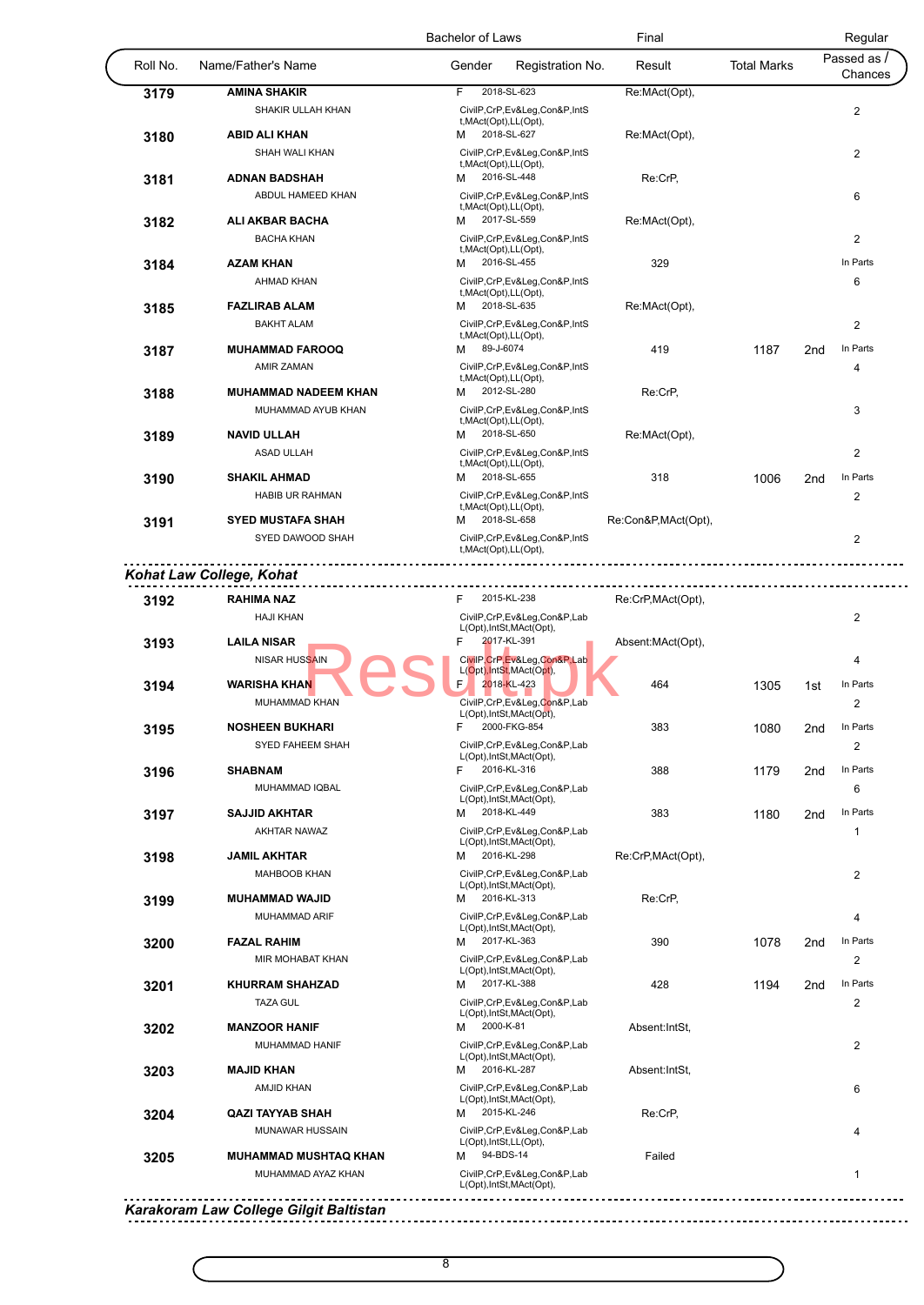|          |                                             | Final<br><b>Bachelor of Laws</b>                                           |                            |                    | Regular         |                         |
|----------|---------------------------------------------|----------------------------------------------------------------------------|----------------------------|--------------------|-----------------|-------------------------|
| Roll No. | Name/Father's Name                          | Gender                                                                     | Registration No.<br>Result | <b>Total Marks</b> |                 | Passed as /<br>Chances  |
| 3179     | <b>AMINA SHAKIR</b>                         | 2018-SL-623<br>F.                                                          | Re:MAct(Opt),              |                    |                 |                         |
|          | <b>SHAKIR ULLAH KHAN</b>                    | CivilP,CrP,Ev&Leg,Con&P,IntS                                               |                            |                    |                 | 2                       |
| 3180     | <b>ABID ALI KHAN</b>                        | t, MAct(Opt), LL(Opt),<br>2018-SL-627<br>м                                 | Re:MAct(Opt),              |                    |                 |                         |
|          | SHAH WALI KHAN                              | CivilP,CrP,Ev&Leg,Con&P,IntS                                               |                            |                    |                 | $\overline{\mathbf{c}}$ |
|          |                                             | t, MAct(Opt), LL(Opt),                                                     |                            |                    |                 |                         |
| 3181     | <b>ADNAN BADSHAH</b>                        | 2016-SL-448<br>М                                                           | Re:CrP,                    |                    |                 |                         |
| 3182     | ABDUL HAMEED KHAN<br><b>ALI AKBAR BACHA</b> | CivilP,CrP,Ev&Leg,Con&P,IntS<br>t, MAct(Opt), LL(Opt),<br>2017-SL-559<br>м | Re:MAct(Opt),              |                    |                 | 6                       |
|          | <b>BACHA KHAN</b>                           | CivilP,CrP,Ev&Leg,Con&P,IntS                                               |                            |                    |                 | 2                       |
|          |                                             | t, MAct(Opt), LL(Opt),                                                     |                            |                    |                 |                         |
| 3184     | <b>AZAM KHAN</b>                            | 2016-SL-455<br>м                                                           | 329                        |                    |                 | In Parts                |
|          | <b>AHMAD KHAN</b>                           | CivilP,CrP,Ev&Leg,Con&P,IntS<br>t, MAct(Opt), LL(Opt),                     |                            |                    |                 | 6                       |
| 3185     | <b>FAZLIRAB ALAM</b>                        | 2018-SL-635<br>M                                                           | Re:MAct(Opt),              |                    |                 |                         |
|          | <b>BAKHT ALAM</b>                           | CivilP,CrP,Ev&Leg,Con&P,IntS                                               |                            |                    |                 | $\overline{2}$          |
| 3187     | <b>MUHAMMAD FAROOQ</b>                      | t, MAct(Opt), LL(Opt),<br>89-J-6074<br>M                                   | 419                        | 1187               | 2 <sub>nd</sub> | In Parts                |
|          | <b>AMIR ZAMAN</b>                           | CivilP,CrP,Ev&Leg,Con&P,IntS                                               |                            |                    |                 | 4                       |
|          |                                             | t, MAct(Opt), LL(Opt),                                                     |                            |                    |                 |                         |
| 3188     | <b>MUHAMMAD NADEEM KHAN</b>                 | 2012-SL-280<br>м                                                           | Re:CrP,                    |                    |                 |                         |
|          | MUHAMMAD AYUB KHAN                          | CivilP,CrP,Ev&Leg,Con&P,IntS<br>t, MAct(Opt), LL(Opt),                     |                            |                    |                 | 3                       |
| 3189     | <b>NAVID ULLAH</b>                          | 2018-SL-650<br>М                                                           | Re:MAct(Opt),              |                    |                 |                         |
|          | ASAD ULLAH                                  | CivilP,CrP,Ev&Leg,Con&P,IntS                                               |                            |                    |                 | 2                       |
|          | <b>SHAKIL AHMAD</b>                         | t, MAct(Opt), LL(Opt),<br>2018-SL-655<br>м                                 | 318                        | 1006               | 2 <sub>nd</sub> | In Parts                |
| 3190     | <b>HABIB UR RAHMAN</b>                      | CivilP,CrP,Ev&Leg,Con&P,IntS                                               |                            |                    |                 | 2                       |
| 3191     | <b>SYED MUSTAFA SHAH</b>                    | t, MAct(Opt), LL(Opt),<br>2018-SL-658<br>M                                 | Re:Con&P,MAct(Opt),        |                    |                 |                         |
|          | SYED DAWOOD SHAH                            | CivilP,CrP,Ev&Leg,Con&P,IntS                                               |                            |                    |                 | 2                       |
|          |                                             | t, MAct(Opt), LL(Opt),                                                     |                            |                    |                 |                         |
|          | Kohat Law College, Kohat                    |                                                                            |                            |                    |                 |                         |
|          | <b>RAHIMA NAZ</b>                           | 2015-KL-238<br>F.                                                          | Re:CrP, MAct(Opt),         |                    |                 |                         |
| 3192     | <b>HAJI KHAN</b>                            | CivilP,CrP,Ev&Leg,Con&P,Lab                                                |                            |                    |                 | 2                       |
|          |                                             | L(Opt), IntSt, MAct(Opt),                                                  |                            |                    |                 |                         |
| 3193     | <b>LAILA NISAR</b>                          | 2017-KL-391<br>F                                                           | Absent: MAct(Opt),         |                    |                 |                         |
|          | <b>NISAR HUSSAIN</b>                        | CivilP, CrP, Ev&Leg, Con&P, Lab<br>L(Opt), IntSt, MAct(Opt),               |                            |                    |                 | 4                       |
| 3194     | <b>WARISHA KHAN</b>                         | F.<br>2018-KL-423                                                          | 464                        | 1305               | 1st             | In Parts                |
|          | MUHAMMAD KHAN                               | CivilP,CrP,Ev&Leg,Con&P,Lab                                                |                            |                    |                 | 2                       |
|          | <b>NOSHEEN BUKHARI</b>                      | L(Opt), IntSt, MAct(Opt),<br>2000-FKG-854                                  | 383                        |                    |                 | In Parts                |
| 3195     | <b>SYED FAHEEM SHAH</b>                     | CivilP,CrP,Ev&Leg,Con&P,Lab                                                |                            | 1080               | 2nd             | $\overline{\mathbf{c}}$ |
|          |                                             | L(Opt), IntSt, MAct(Opt),                                                  |                            |                    |                 |                         |
| 3196     | <b>SHABNAM</b>                              | 2016-KL-316<br>F.                                                          | 388                        | 1179               | 2 <sub>nd</sub> | In Parts                |
|          | MUHAMMAD IQBAL                              | CivilP,CrP,Ev&Leg,Con&P,Lab<br>L(Opt), IntSt, MAct(Opt),                   |                            |                    |                 | 6                       |
| 3197     | <b>SAJJID AKHTAR</b>                        | 2018-KL-449<br>м                                                           | 383                        | 1180               | 2 <sub>nd</sub> | In Parts                |
|          | AKHTAR NAWAZ                                | CivilP,CrP,Ev&Leg,Con&P,Lab                                                |                            |                    |                 | 1                       |
|          | <b>JAMIL AKHTAR</b>                         | L(Opt), IntSt, MAct(Opt),<br>2016-KL-298<br>м                              |                            |                    |                 |                         |
| 3198     | <b>MAHBOOB KHAN</b>                         | CivilP,CrP,Ev&Leg,Con&P,Lab                                                | Re:CrP, MAct(Opt),         |                    |                 |                         |
|          |                                             | L(Opt), IntSt, MAct(Opt),                                                  |                            |                    |                 | 2                       |
| 3199     | <b>MUHAMMAD WAJID</b>                       | 2016-KL-313<br>м                                                           | Re:CrP,                    |                    |                 |                         |
|          | <b>MUHAMMAD ARIF</b>                        | CivilP,CrP,Ev&Leg,Con&P,Lab<br>L(Opt), IntSt, MAct(Opt),                   |                            |                    |                 | 4                       |
| 3200     | <b>FAZAL RAHIM</b>                          | 2017-KL-363<br>м                                                           | 390                        | 1078               | 2 <sub>nd</sub> | In Parts                |
|          | MIR MOHABAT KHAN                            | CivilP,CrP,Ev&Leg,Con&P,Lab                                                |                            |                    |                 | 2                       |
|          |                                             | L(Opt), IntSt, MAct(Opt),                                                  |                            |                    |                 |                         |
| 3201     | <b>KHURRAM SHAHZAD</b>                      | 2017-KL-388<br>м                                                           | 428                        | 1194               | 2nd             | In Parts                |
|          | <b>TAZA GUL</b>                             | CivilP,CrP,Ev&Leg,Con&P,Lab<br>L(Opt), IntSt, MAct(Opt),                   |                            |                    |                 | 2                       |
| 3202     | <b>MANZOOR HANIF</b>                        | 2000-K-81<br>м                                                             | Absent: IntSt,             |                    |                 |                         |
|          | MUHAMMAD HANIF                              | CivilP,CrP,Ev&Leg,Con&P,Lab                                                |                            |                    |                 | 2                       |
| 3203     | <b>MAJID KHAN</b>                           | L(Opt), IntSt, MAct(Opt),<br>2016-KL-287<br>м                              | Absent: IntSt,             |                    |                 |                         |
|          | <b>AMJID KHAN</b>                           | CivilP,CrP,Ev&Leg,Con&P,Lab                                                |                            |                    |                 | 6                       |
|          |                                             | L(Opt), IntSt, MAct(Opt),                                                  |                            |                    |                 |                         |
|          | <b>QAZI TAYYAB SHAH</b>                     | 2015-KL-246<br>м                                                           | Re:CrP,                    |                    |                 |                         |
| 3204     |                                             |                                                                            |                            |                    |                 | 4                       |
|          | MUNAWAR HUSSAIN                             | CivilP,CrP,Ev&Leg,Con&P,Lab                                                |                            |                    |                 |                         |
| 3205     | <b>MUHAMMAD MUSHTAQ KHAN</b>                | L(Opt), IntSt, LL(Opt),<br>94-BDS-14<br>м                                  | Failed                     |                    |                 |                         |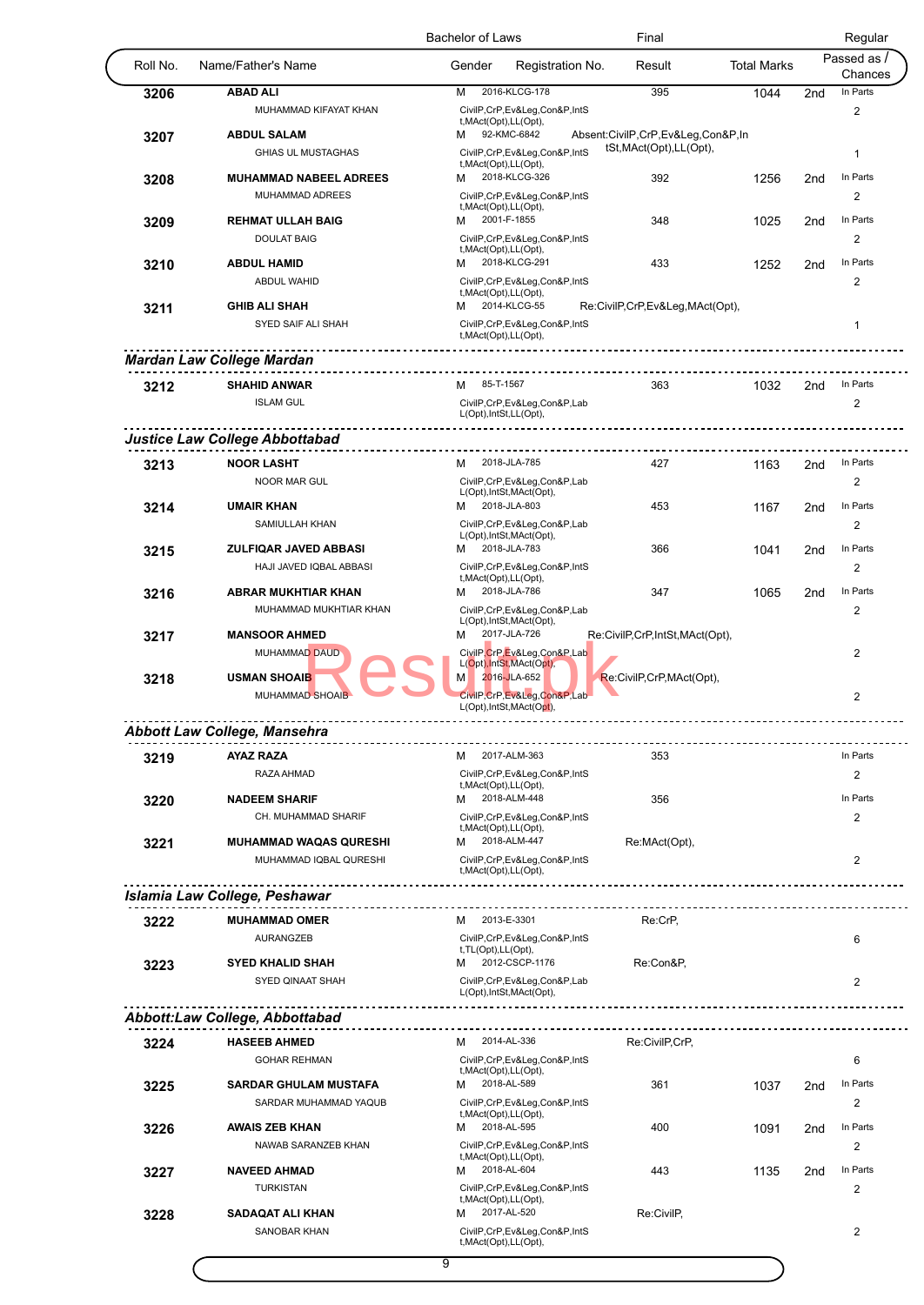|          |                                                    | <b>Bachelor of Laws</b>                                                       |                  | Final                                                         |                    |                 | Regular                 |
|----------|----------------------------------------------------|-------------------------------------------------------------------------------|------------------|---------------------------------------------------------------|--------------------|-----------------|-------------------------|
| Roll No. | Name/Father's Name                                 | Gender                                                                        | Registration No. | Result                                                        | <b>Total Marks</b> |                 | Passed as<br>Chances    |
| 3206     | <b>ABAD ALI</b>                                    | 2016-KLCG-178<br>M                                                            |                  | 395                                                           | 1044               | 2nd             | In Parts                |
|          | MUHAMMAD KIFAYAT KHAN                              | CivilP,CrP,Ev&Leg,Con&P,IntS<br>t, MAct(Opt), LL(Opt),                        |                  |                                                               |                    |                 | 2                       |
| 3207     | <b>ABDUL SALAM</b>                                 | 92-KMC-6842<br>м                                                              |                  | Absent:CivilP,CrP,Ev&Leg,Con&P,In<br>tSt, MAct(Opt), LL(Opt), |                    |                 |                         |
|          | <b>GHIAS UL MUSTAGHAS</b>                          | CivilP,CrP,Ev&Leg,Con&P,IntS<br>t, MAct(Opt), LL(Opt),                        |                  |                                                               |                    |                 | $\mathbf 1$             |
| 3208     | <b>MUHAMMAD NABEEL ADREES</b>                      | 2018-KLCG-326<br>м                                                            |                  | 392                                                           | 1256               | 2nd             | In Parts                |
|          | MUHAMMAD ADREES                                    | CivilP,CrP,Ev&Leg,Con&P,IntS<br>t, MAct(Opt), LL(Opt),                        |                  |                                                               |                    |                 | 2                       |
| 3209     | <b>REHMAT ULLAH BAIG</b>                           | 2001-F-1855<br>м                                                              |                  | 348                                                           | 1025               | 2nd             | In Parts                |
|          | <b>DOULAT BAIG</b>                                 | CivilP,CrP,Ev&Leg,Con&P,IntS                                                  |                  |                                                               |                    |                 | $\overline{2}$          |
| 3210     | <b>ABDUL HAMID</b>                                 | t, MAct(Opt), LL(Opt),<br>2018-KLCG-291<br>м                                  |                  | 433                                                           | 1252               | 2nd             | In Parts                |
|          | <b>ABDUL WAHID</b>                                 | CivilP,CrP,Ev&Leg,Con&P,IntS                                                  |                  |                                                               |                    |                 | 2                       |
|          | <b>GHIB ALI SHAH</b>                               | t, MAct(Opt), LL(Opt),<br>2014-KLCG-55<br>м                                   |                  |                                                               |                    |                 |                         |
| 3211     | SYED SAIF ALI SHAH                                 | CivilP,CrP,Ev&Leg,Con&P,IntS                                                  |                  | Re:CivilP,CrP,Ev&Leg,MAct(Opt),                               |                    |                 | 1                       |
|          |                                                    | t, MAct(Opt), LL(Opt),                                                        |                  |                                                               |                    |                 |                         |
|          | <b>Mardan Law College Mardan</b>                   |                                                                               | .                |                                                               |                    |                 |                         |
| 3212     | <b>SHAHID ANWAR</b>                                | M 85-T-1567                                                                   |                  | 363                                                           | 1032               | 2nd             | In Parts                |
|          | <b>ISLAM GUL</b>                                   | CivilP,CrP,Ev&Leg,Con&P,Lab<br>L(Opt), IntSt, LL(Opt),                        |                  |                                                               |                    |                 | $\overline{\mathbf{c}}$ |
|          | <b>Justice Law College Abbottabad</b>              |                                                                               |                  |                                                               |                    |                 |                         |
|          |                                                    |                                                                               |                  |                                                               |                    |                 | In Parts                |
| 3213     | <b>NOOR LASHT</b><br><b>NOOR MAR GUL</b>           | 2018-JLA-785<br>м<br>CivilP,CrP,Ev&Leg,Con&P,Lab                              |                  | 427                                                           | 1163               | 2 <sub>nd</sub> | 2                       |
|          |                                                    | L(Opt), IntSt, MAct(Opt),                                                     |                  |                                                               |                    |                 |                         |
| 3214     | <b>UMAIR KHAN</b>                                  | 2018-JLA-803<br>м                                                             |                  | 453                                                           | 1167               | 2nd             | In Parts                |
|          | SAMIULLAH KHAN                                     | CivilP,CrP,Ev&Leg,Con&P,Lab<br>L(Opt), IntSt, MAct(Opt),                      |                  |                                                               |                    |                 | $\overline{2}$          |
| 3215     | ZULFIQAR JAVED ABBASI                              | 2018-JLA-783<br>м                                                             |                  | 366                                                           | 1041               | 2nd             | In Parts                |
|          | HAJI JAVED IQBAL ABBASI                            | CivilP,CrP,Ev&Leg,Con&P,IntS<br>t, MAct(Opt), LL(Opt),                        |                  |                                                               |                    |                 | 2                       |
| 3216     | ABRAR MUKHTIAR KHAN                                | 2018-JLA-786<br>м                                                             |                  | 347                                                           | 1065               | 2nd             | In Parts                |
|          | MUHAMMAD MUKHTIAR KHAN                             | CivilP,CrP,Ev&Leg,Con&P,Lab<br>L(Opt), IntSt, MAct(Opt),                      |                  |                                                               |                    |                 | 2                       |
| 3217     | <b>MANSOOR AHMED</b>                               | 2017-JLA-726<br>м                                                             |                  | Re:CivilP,CrP,IntSt,MAct(Opt),                                |                    |                 |                         |
|          | <b>MUHAMMAD DAUD</b>                               | CivilP.CrP.Ev&Leg.Con&P.Lab<br>L(Opt), IntSt, MAct(Opt),                      |                  |                                                               |                    |                 | $\overline{2}$          |
| 3218     | <b>USMAN SHOAIB</b><br><b>MUHAMMAD SHOAIB</b>      | 2016-JLA-652<br>M<br>CivilP,CrP,Ev&Leg,Con&P,Lab<br>L(Opt), IntSt, MAct(Opt), |                  | Re:CivilP,CrP,MAct(Opt),                                      |                    |                 | 2                       |
|          | <b>Abbott Law College, Mansehra</b>                |                                                                               |                  |                                                               |                    |                 |                         |
| 3219     | <b>AYAZ RAZA</b>                                   | 2017-ALM-363<br>м                                                             |                  | 353                                                           |                    |                 | In Parts                |
|          | RAZA AHMAD                                         | CivilP,CrP,Ev&Leg,Con&P,IntS                                                  |                  |                                                               |                    |                 | 2                       |
|          | <b>NADEEM SHARIF</b>                               | t, MAct(Opt), LL(Opt),<br>M 2018-ALM-448                                      |                  | 356                                                           |                    |                 | In Parts                |
| 3220     | CH. MUHAMMAD SHARIF                                | CivilP,CrP,Ev&Leg,Con&P,IntS                                                  |                  |                                                               |                    |                 | 2                       |
|          |                                                    | t, MAct(Opt), LL(Opt),                                                        |                  |                                                               |                    |                 |                         |
| 3221     | <b>MUHAMMAD WAQAS QURESHI</b>                      | 2018-ALM-447<br>м                                                             |                  | Re:MAct(Opt),                                                 |                    |                 |                         |
|          | MUHAMMAD IQBAL QURESHI                             | CivilP,CrP,Ev&Leg,Con&P,IntS<br>t, MAct(Opt), LL(Opt),                        |                  |                                                               |                    |                 | $\mathbf{2}$            |
|          | Islamia Law College, Peshawar                      |                                                                               |                  |                                                               |                    |                 |                         |
| 3222     | <b>MUHAMMAD OMER</b>                               | M 2013-E-3301                                                                 |                  | Re:CrP.                                                       |                    |                 |                         |
|          | AURANGZEB                                          | CivilP,CrP,Ev&Leg,Con&P,IntS                                                  |                  |                                                               |                    |                 | 6                       |
|          |                                                    | t, TL(Opt), LL(Opt),<br>2012-CSCP-1176                                        |                  |                                                               |                    |                 |                         |
| 3223     | <b>SYED KHALID SHAH</b><br><b>SYED QINAAT SHAH</b> | м<br>CivilP,CrP,Ev&Leg,Con&P,Lab                                              |                  | Re:Con&P,                                                     |                    |                 | 2                       |
|          |                                                    | L(Opt), IntSt, MAct(Opt),                                                     |                  |                                                               |                    |                 |                         |
|          | Abbott:Law College, Abbottabad                     | .                                                                             | ----------       |                                                               |                    |                 |                         |
| 3224     | <b>HASEEB AHMED</b>                                | M 2014-AL-336                                                                 |                  | Re:CivilP,CrP,                                                |                    |                 |                         |
|          | <b>GOHAR REHMAN</b>                                | CivilP,CrP,Ev&Leg,Con&P,IntS                                                  |                  |                                                               |                    |                 | 6                       |
| 3225     | <b>SARDAR GHULAM MUSTAFA</b>                       | t, MAct(Opt), LL(Opt),<br>2018-AL-589<br>м                                    |                  | 361                                                           | 1037               | 2 <sub>nd</sub> | In Parts                |
|          | SARDAR MUHAMMAD YAQUB                              | CivilP,CrP,Ev&Leg,Con&P,IntS                                                  |                  |                                                               |                    |                 | 2                       |
|          |                                                    | t, MAct(Opt), LL(Opt),                                                        |                  |                                                               |                    |                 |                         |
| 3226     | <b>AWAIS ZEB KHAN</b>                              | 2018-AL-595<br>м                                                              |                  | 400                                                           | 1091               | 2nd             | In Parts                |
|          | NAWAB SARANZEB KHAN                                | CivilP,CrP,Ev&Leg,Con&P,IntS<br>t, MAct(Opt), LL(Opt),                        |                  |                                                               |                    |                 | 2                       |
|          | <b>NAVEED AHMAD</b>                                | 2018-AL-604<br>м                                                              |                  | 443                                                           | 1135               | 2nd             | In Parts                |
| 3227     |                                                    | CivilP,CrP,Ev&Leg,Con&P,IntS                                                  |                  |                                                               |                    |                 | 2                       |
|          | <b>TURKISTAN</b>                                   |                                                                               |                  |                                                               |                    |                 |                         |
| 3228     | <b>SADAQAT ALI KHAN</b>                            | t, MAct(Opt), LL(Opt),<br>2017-AL-520<br>м                                    |                  | Re:CivilP,                                                    |                    |                 |                         |
|          | SANOBAR KHAN                                       | CivilP,CrP,Ev&Leg,Con&P,IntS<br>t, MAct(Opt), LL(Opt),                        |                  |                                                               |                    |                 | 2                       |